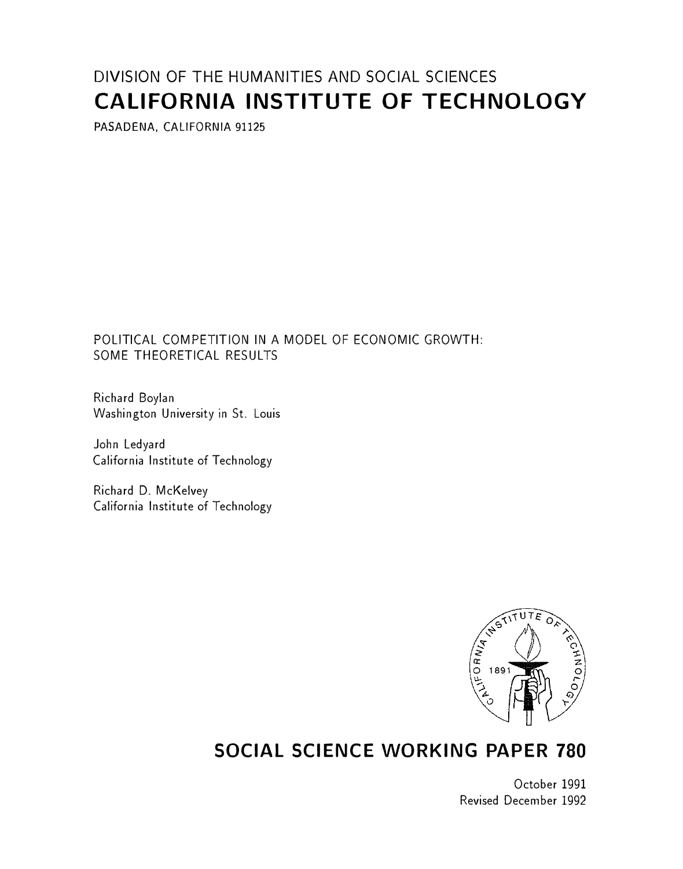# DIVISION OF THE HUMANITIES AND SOCIAL SCIENCES CALIFORNIA INSTITUTE OF TECHNOLOGY

PASADENA, CALIFORNIA 91125

# POLITICAL COMPETITION IN A MODEL OF ECONOMIC GROWTH: SOME THEORETICAL RESULTS

Richard Boylan Washington University in St. Louis

John Ledyard California Institute of Technology

Richard D. McKelvey California Institute of Technology



# SOCIAL SCIENCE WORKING PAPER 780

October 1991 Revised December 1992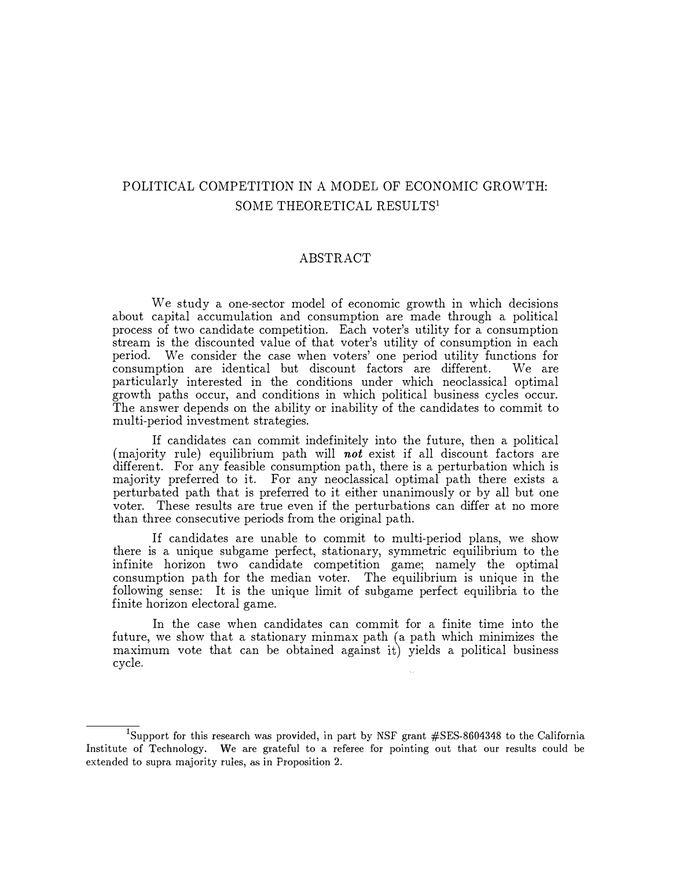# POLITICAL COMPETITION IN A MODEL OF ECONOMIC GROWTH: SOME THEORETICAL RESULTS<sup>1</sup>

## ABSTRACT

We study a one-sector model of economic growth in which decisions about capital accumulation and consumption are made through a political process of two candidate competition. Each voter's utility for a consumption stream is the discounted value of that voter's utility of consumption in each period. We consider the case when voters' one period utility functions for consumption are identical but discount factors are different. We are particularly interested in the conditions under which neoclassical optimal growth paths occur, and conditions in which political business cycles occur. The answer depends on the ability or inability of the candidates to commit to multi-period investment strategies.

If candidates can commit indefinitely into the future, then a political (majority rule) equilibrium path will **not** exist if all discount factors are different. For any feasible consumption path, there is a perturbation which is majority preferred to it. For any neoclassical optimal path there exists a perturbated path that is preferred to it either unanimously or by all but one voter. These results are true even if the perturbations can differ at no more than three consecutive periods from the original path.

If candidates are unable to commit to multi-period plans, we show there is a unique subgame perfect, stationary, symmetric equilibrium to the infinite horizon two candidate competition game; namely the optimal consumption path for the median voter. The equilibrium is unique in the following sense: It is the unique limit of subgame perfect equilibria to the finite horizon electoral game.

In the case when candidates can commit for a finite time into the future, we show that a stationary minmax path (a path which minimizes the maximum vote that can be obtained against it) yields a political business cycle.

 $\overline{^{1}}$ Support for this research was provided, in part by NSF grant #SES-8604348 to the California Institute of Technology. We are grateful to a referee for pointing out that our results could be extended to supra majority rules, as in Proposition 2.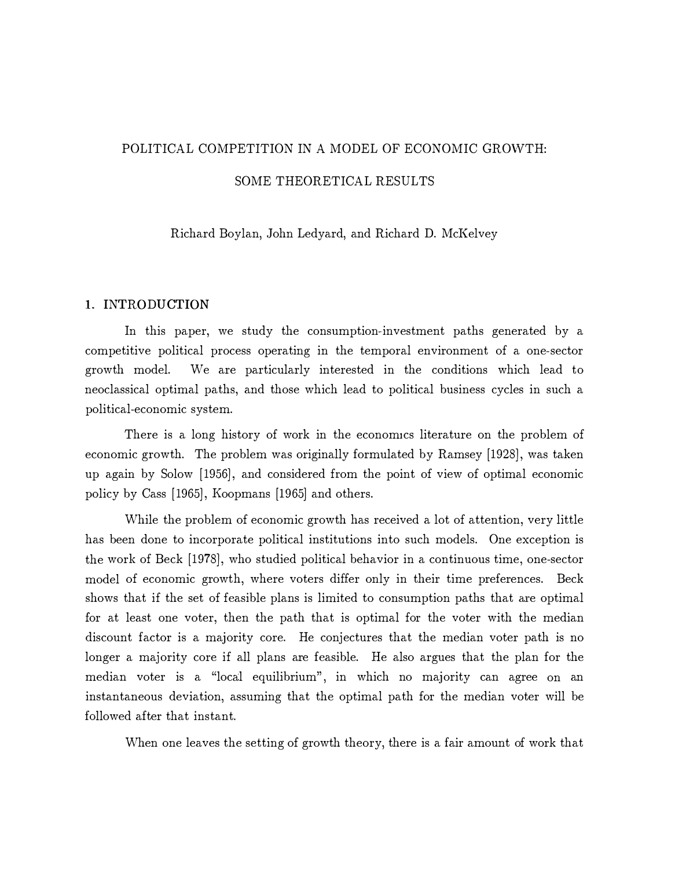# POLITICAL COMPETITION IN A MODEL OF ECONOMIC GROWTH: SOME THEORETICAL RESULTS

Richard Boylan, John Ledyard, and Richard D. McKelvey

## 1. INTRODUCTION

In this paper, we study the consumption-investment paths generated by a competitive political process operating in the temporal environment of a one-sector growth model. We are particularly interested in the conditions which lead to neoclassical optimal paths, and those which lead to political business cycles in such a political-economic system.

There is a long history of work in the economics literature on the problem of economic growth. The problem was originally formulated by Ramsey [1928], was taken up again by Solow [1956], and considered from the point of view of optimal economic policy by Cass [1965], Koopmans [1965] and others.

While the problem of economic growth has received a lot of attention, very little has been done to incorporate political institutions into such models. One exception is the work of Beck [1 978], who studied political behavior in a continuous time, one-sector model of economic growth, where voters differ only in their time preferences. Beck shows that if the set of feasible plans is limited to consumption paths that are optimal for at least one voter, then the path that is optimal for the voter with the median discount factor is a majority core. He conjectures that the median voter path is no longer a majority core if all plans are feasible. He also argues that the plan for the median voter is a "local equilibrium", in which no majority can agree on an instantaneous deviation, assuming that the optimal path for the median voter will be followed after that instant.

When one leaves the setting of growth theory, there is a fair amount of work that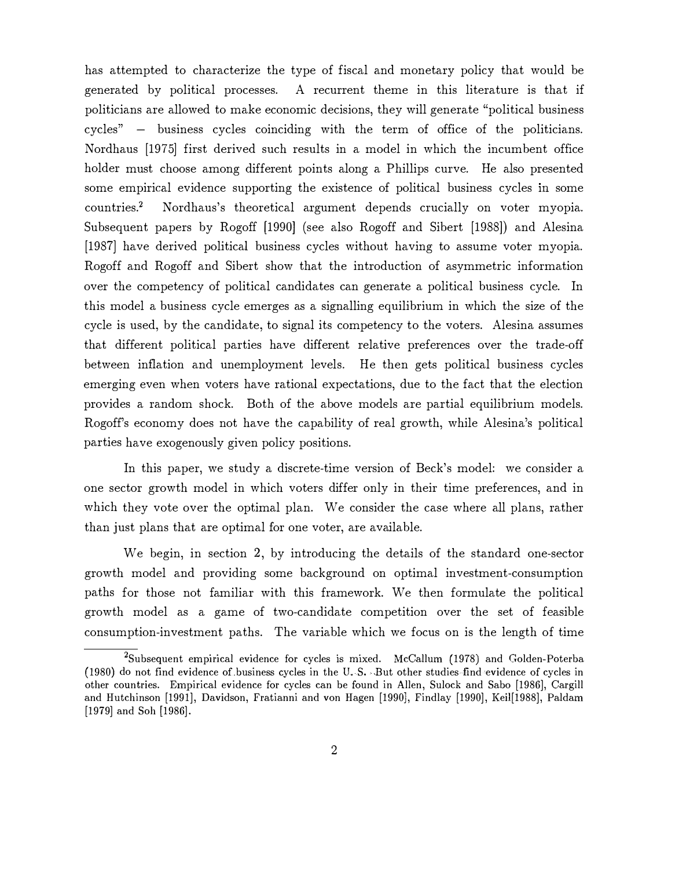has attempted to characterize the type of fiscal and monetary policy that would be generated by political processes. A recurrent theme in this literature is that if politicians are allowed to make economic decisions, they will generate "political business cycles" - business cycles coinciding with the term of office of the politicians. Nordhaus [1975] first derived such results in a model in which the incumbent office holder must choose among different points along a Phillips curve. He also presented some empirical evidence supporting the existence of political business cycles in some countries.2 Nordhaus's theoretical argument depends crucially on voter myopia. Subsequent papers by Rogoff [1990] (see also Rogoff and Sibert [1988]) and Alesina [1987] have derived political business cycles without having to assume voter myopia. Rogoff and Rogoff and Sibert show that the introduction of asymmetric information over the competency of political candidates can generate a political business cycle. In this model a business cycle emerges as a signalling equilibrium in which the size of the cycle is used, by the candidate, to signal its competency to the voters. Alesina assumes that different political parties have different relative preferences over the trade-off between inflation and unemployment levels. He then gets political business cycles emerging even when voters have rational expectations, due to the fact that the election provides a random shock. Both of the above models are partial equilibrium models. Rogoff's economy does not have the capability of real growth, while Alesina's political parties have exogenously given policy positions.

In this paper, we study a discrete-time version of Beck's model: we consider a one sector growth model in which voters differ only in their time preferences, and in which they vote over the optimal plan. We consider the case where all plans, rather than just plans that are optimal for one voter, are available.

We begin, in section 2, by introducing the details of the standard one-sector growth model and providing some background on optimal investment-consumption paths for those not familiar with this framework. We then formulate the political growth model as a game of two-candidate competition over the set of feasible consumption-investment paths. The variable which we focus on is the length of time

<sup>&</sup>lt;sup>2</sup>Subsequent empirical evidence for cycles is mixed. McCallum (1978) and Golden-Poterba (1980) do not find evidence oLbusiness cycles in the U. S. .But other studies· find evidence of cycles in other countries. Empirical evidence for cycles can be found in Allen, Sulock and Sabo [1986], Cargill and Hutchinson [1991], Davidson, Fratianni and von Hagen [1990], Findlay [1990], Kei1[1988], Paldam [1979] and Soh (1986].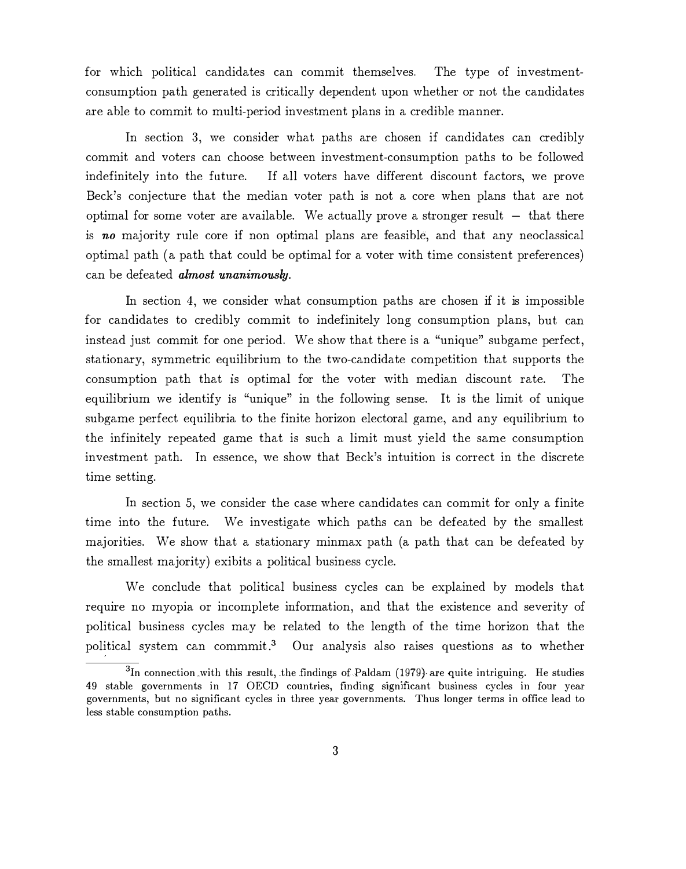for which political candidates can commit themselves. The type of investmentconsumption path generated is critically dependent upon whether or not the candidates are able to commit to multi-period investment plans in a credible manner.

In section 3, we consider what paths are chosen if candidates can credibly commit and voters can choose between investment-consumption paths to be followed indefinitely into the future. If all voters have different discount factors, we prove Beck's conjecture that the median voter path is not a core when plans that are not optimal for some voter are available. We actually prove a stronger result  $-$  that there is no majority rule core if non optimal plans are feasible, and that any neoclassical optimal path (a path that could be optimal for a voter with time consistent preferences) can be defeated almost unanimously.

In section 4, we consider what consumption paths are chosen if it is impossible for candidates to credibly commit to indefinitely long consumption plans, but can instead just commit for one period. We show that there is a "unique" subgame perfect, stationary, symmetric equilibrium to the two-candidate competition that supports the consumption path that 1s optimal for the voter with median discount rate. The equilibrium we identify 1s "unique" in the following sense. It is the limit of unique subgame perfect equilibria to the finite horizon electoral game, and any equilibrium to the infinitely repeated game that is such a limit must yield the same consumption investment path. In essence, we show that Beck's intuition is correct in the discrete time setting.

In section 5, we consider the case where candidates can commit for only a finite time into the future. We investigate which paths can be defeated by the smallest majorities. We show that a stationary minmax path (a path that can be defeated by the smallest majority) exibits a political business cycle.

We conclude that political business cycles can be explained by models that require no myopia or incomplete information, and that the existence and severity of political business cycles may be related to the length of the time horizon that the political system can commmit .3 Our analysis also raises questions as to whether

 $\overline{{}^3\text{In}}$  connection with this result, the findings of Paldam (1979) are quite intriguing. He studies 49 stable governments in 17 OECD countries, finding significant business cycles in four year governments, but no significant cycles in three year governments. Thus longer terms in office lead to less stable consumption paths.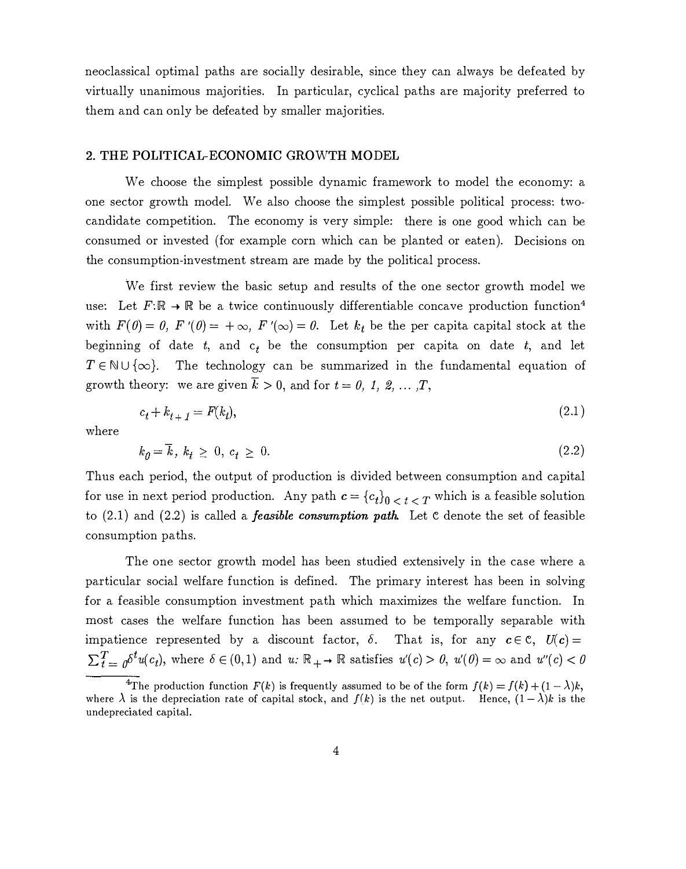neoclassical optimal paths are socially desirable, since they can always be defeated by virtually unanimous majorities. In particular, cyclical paths are majority preferred to them and can only be defeated by smaller majorities.

### 2. THE POLITICAL-ECONOMIC GROWTH MODEL

We choose the simplest possible dynamic framework to model the economy: a one sector growth model. We also choose the simplest possible political process: twocandidate competition. The economy is very simple: there is one good which can be consumed or invested (for example corn which can be planted or eaten). Decisions on the consumption-investment stream are made by the political process.

We first review the basic setup and results of the one sector growth model we use: Let  $F: \mathbb{R} \to \mathbb{R}$  be a twice continuously differentiable concave production function<sup>4</sup> with  $F(\theta) = \theta$ ,  $F'(\theta) = +\infty$ ,  $F'(\infty) = \theta$ . Let  $k_t$  be the per capital capital stock at the beginning of date  $t$ , and  $c_t$  be the consumption per capita on date  $t$ , and let  $T \in \mathbb{N} \cup \{\infty\}$ . The technology can be summarized in the fundamental equation of growth theory: we are given  $\overline{k} > 0$ , and for  $t = 0, 1, 2, \ldots, T$ ,

$$
c_t + k_{t+1} = F(k_t),
$$
\n(2.1)

where

$$
k_{\theta} = \overline{k}, \ k_{t} \geq 0, \ c_{t} \geq 0. \tag{2.2}
$$

Thus each period, the output of production is divided between consumption and capital for use in next period production. Any path  $c = {c_t}_0 \cdot c_t < r$  which is a feasible solution to  $(2.1)$  and  $(2.2)$  is called a *feasible consumption path*. Let c denote the set of feasible consumption paths.

The one sector growth model has been studied extensively in the case where a particular social welfare function is defined. The primary interest has been in solving for a feasible consumption investment path which maximizes the welfare function. In most cases the welfare function has been assumed to be temporally separable with impatience represented by a discount factor,  $\delta$ . That is, for any  $c \in \mathbb{C}$ ,  $U(c)$  =  $\sum_{t=0}^{T} \delta^t u(c_t)$ , where  $\delta \in (0,1)$  and  $u: \mathbb{R}_{+} \to \mathbb{R}$  satisfies  $u'(c) > 0$ ,  $u'(0) = \infty$  and  $u''(c) < 0$ 

<sup>&</sup>lt;sup>4</sup>The production function  $F(k)$  is frequently assumed to be of the form  $f(k) = f(k) + (1-\lambda)k$ , where  $\lambda$  is the depreciation rate of capital stock, and  $f(k)$  is the net output. Hence,  $(1-\lambda)k$  is the undepreciated capital.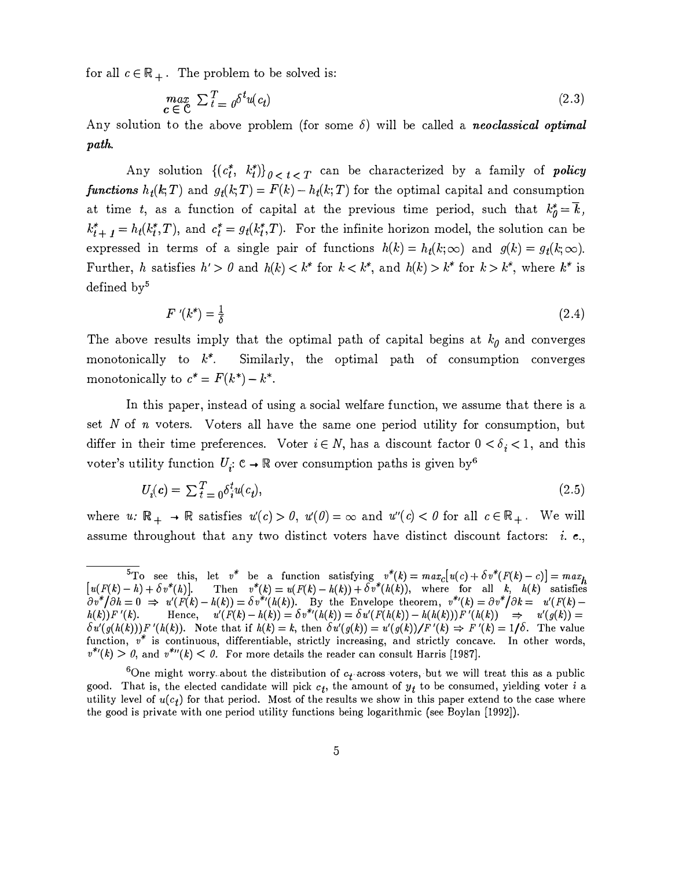for all  $c \in \mathbb{R}_+$ . The problem to be solved is:

$$
\max_{c \in \mathcal{C}} \sum_{t=0}^{T} \delta^{t} u(c_t) \tag{2.3}
$$

Any solution to the above problem (for some  $\delta$ ) will be called a *neoclassical optimal* path.

Any solution  $\{(c_t^*, k_t^*)\}_{0 \leq t \leq T}$  can be characterized by a family of *policy* functions  $h_t(k,T)$  and  $g_t(k,T) = F(k) - h_t(k,T)$  for the optimal capital and consumption at time t, as a function of capital at the previous time period, such that  $k_0^* = \overline{k}$ ,  $k_{t+1}^* = h_t(k_t^*,T)$ , and  $c_t^* = g_t(k_t^*,T)$ . For the infinite horizon model, the solution can be expressed in terms of a single pair of functions  $h(k) = h_t(k;\infty)$  and  $g(k) = g_t(k;\infty)$ . Further, h satisfies  $h' > 0$  and  $h(k) < k^*$  for  $k < k^*$ , and  $h(k) > k^*$  for  $k > k^*$ , where  $k^*$  is defined  $bv^5$ 

$$
F'(k^*) = \frac{1}{\delta} \tag{2.4}
$$

The above results imply that the optimal path of capital begins at  $k_0$  and converges monotonically to  $k^*$ . Similarly, the optimal path of consumption converges monotonically to  $c^* = F(k^*) - k^*$ .

In this paper, instead of using a social welfare function, we assume that there is a set  $N$  of  $n$  voters. Voters all have the same one period utility for consumption, but differ in their time preferences. Voter  $i \in N$ , has a discount factor  $0 < \delta_i < 1$ , and this voter's utility function  $U_i: \mathbb{C} \to \mathbb{R}$  over consumption paths is given by<sup>6</sup>

$$
U_i(\mathbf{c}) = \sum_{t=0}^{T} \delta_i^t u(c_t), \tag{2.5}
$$

where  $u: \mathbb{R}_+ \to \mathbb{R}$  satisfies  $u'(c) > 0$ ,  $u'(0) = \infty$  and  $u''(c) < 0$  for all  $c \in \mathbb{R}_+$ . We will assume throughout that any two distinct voters have distinct discount factors: *i.e.*,

 $\overline{5}_{\text{To}}$  see this, let  $v^*$  be a function satisfying  $v^*(k) = max_c [u(c) + \delta v^*(F(k) - c)] = max_h$ [ $u(F(k)-h)+\delta v^*(h)$ ]. Then  $v^*(k) = u(F(k)-h(k)) + \delta v^*(h(k))$ , where for all k,  $h(k)$  satisfies  $\partial v^*/\partial h=0 \implies u'(F(k)-h(k))=\delta v^{*/}(h(k)).$  By the Envelope theorem,  $v^{*}(k)=\partial v^*/\partial k=-u'(F(k)-h(k))$  $h(k)$   $F'(k)$ . Hence,  $u'(F(k)-h(k)) = \delta v^{*}(h(k)) = \delta u'(F(h(k)) - h(h(k)))F'(h(k)) \Rightarrow u'(g(k)) =$  $\delta u'(g(h(k)))F'(h(k))$ . Note that if  $h(k) = k$ , then  $\delta u'(g(k)) = u'(g(k))/F'(k) \Rightarrow F'(k) = 1/\delta$ . The value function,  $v^*$  is continuous, differentiable, strictly increasing, and strictly concave. In other words,  $v^{*_l}(k) > 0$ , and  $v^{*_l}(k) < 0$ . For more details the reader can consult Harris [1987].

<sup>&</sup>lt;sup>6</sup>One might worry about the distribution of  $c_t$  across voters, but we will treat this as a public good. That is, the elected candidate will pick  $c_t$ , the amount of  $y_t$  to be consumed, yielding voter i a utility level of  $u(c_t)$  for that period. Most of the results we show in this paper extend to the case where the good is private with one period utility functions being logarithmic (see Boylan [1992]).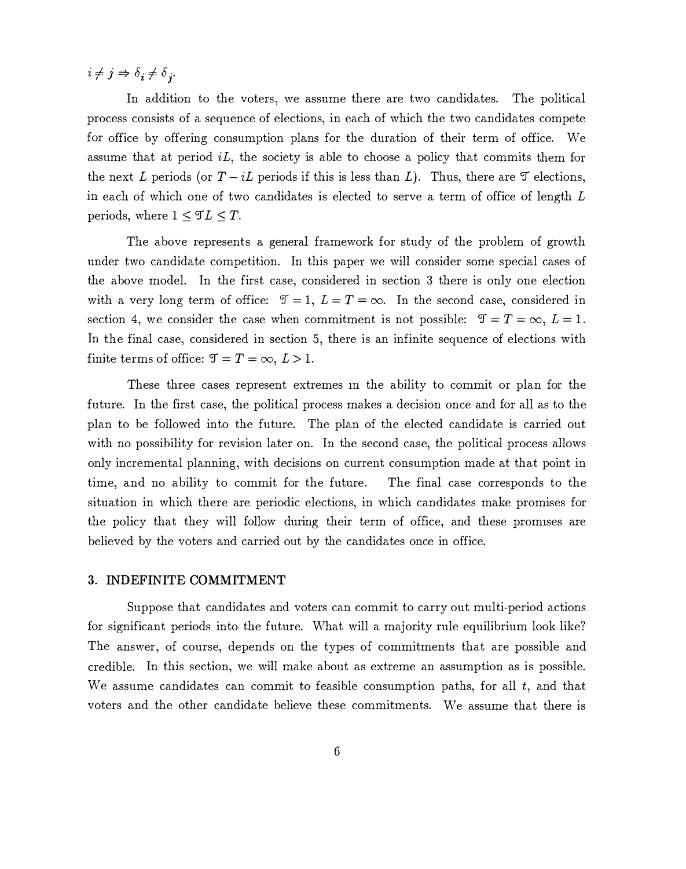$i \neq j \Rightarrow \delta_i \neq \delta_j$ .

In addition to the voters, we assume there are two candidates. The political process consists of a sequence of elections, in each of which the two candidates compete for office by offering consumption plans for the duration of their term of office. We assume that at period  $iL$ , the society is able to choose a policy that commits them for the next L periods (or  $T - iL$  periods if this is less than L). Thus, there are  $\mathcal T$  elections, in each of which one of two candidates is elected to serve a term of office of length L periods, where  $1 \leq \mathcal{I}L \leq T$ .

The above represents a general framework for study of the problem of growth under two candidate competition. In this paper we will consider some special cases of the above model. In the first case, considered in section 3 there is only one election with a very long term of office:  $\mathcal{T} = 1, L = T = \infty$ . In the second case, considered in section 4, we consider the case when commitment is not possible:  $\mathfrak{T} = T = \infty$ ,  $L = 1$ . In the final case, considered in section 5, there is an infinite sequence of elections with finite terms of office:  $\mathfrak{T} = T = \infty, L > 1$ .

These three cases represent extremes m the ability to commit or plan for the future. In the first case, the political process makes a decision once and for all as to the plan to be followed into the future. The plan of the elected candidate is carried out with no possibility for revision later on. In the second case, the political process allows only incremental planning, with decisions on current consumption made at that point in time, and no ability to commit for the future. The final case corresponds to the situation in which there are periodic elections, in which candidates make promises for the policy that they will follow during their term of office, and these promises are believed by the voters and carried out by the candidates once in office.

#### 3. INDEFINITE COMMITMENT

Suppose that candidates and voters can commit to carry out multi-period actions for significant periods into the future. What will a majority rule equilibrium look like? The answer, of course, depends on the types of commitments that are possible and credible. In this section, we will make about as extreme an assumption as is possible. We assume candidates can commit to feasible consumption paths, for all  $t$ , and that voters and the other candidate believe these commitments. We assume that there is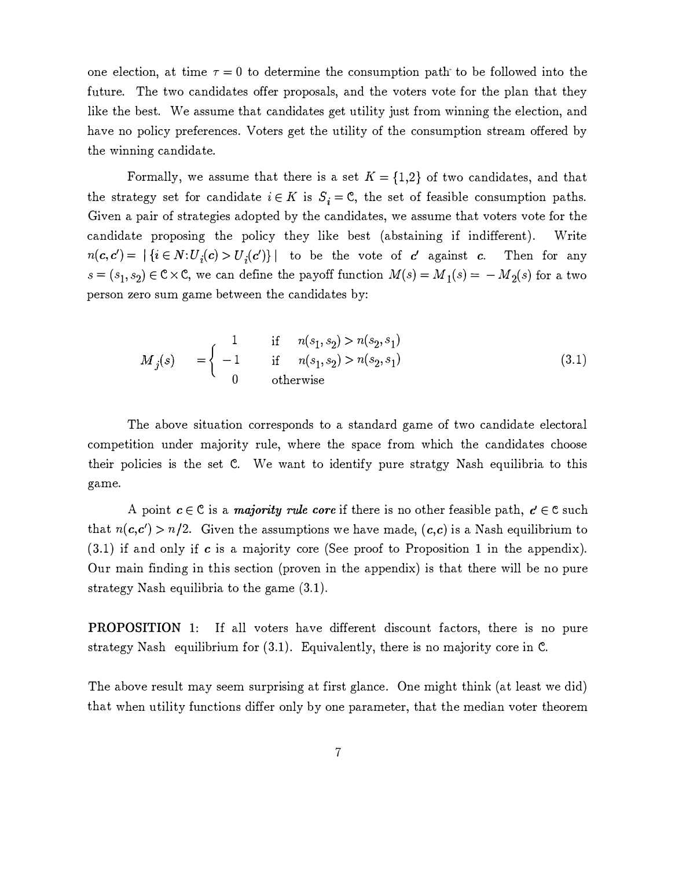one election, at time  $\tau = 0$  to determine the consumption path to be followed into the future. The two candidates offer proposals, and the voters vote for the plan that they like the best. We assume that candidates get utility just from winning the election, and have no policy preferences. Voters get the utility of the consumption stream offered by the winning candidate.

Formally, we assume that there is a set  $K = \{1,2\}$  of two candidates, and that the strategy set for candidate  $i \in K$  is  $S_i = \mathbb{C}$ , the set of feasible consumption paths. Given a pair of strategies adopted by the candidates, we assume that voters vote for the candidate proposing the policy they like best (abstaining if indifferent). Write  $n(c, c') = |\{i \in N: U_i(c) > U_i(c')\}|$  to be the vote of c'against c. Then for any  $s = (s_1, s_2) \in \mathbb{C} \times \mathbb{C}$ , we can define the payoff function  $M(s) = M_1(s) = -M_2(s)$  for a two person zero sum game between the candidates by:

$$
M_j(s) = \begin{cases} 1 & \text{if } n(s_1, s_2) > n(s_2, s_1) \\ -1 & \text{if } n(s_1, s_2) > n(s_2, s_1) \\ 0 & \text{otherwise} \end{cases}
$$
(3.1)

The above situation corresponds to a standard game of two candidate electoral competition under majority rule, where the space from which the candidates choose their policies is the set C. We want to identify pure stratgy Nash equilibria to this game.

A point  $c \in \mathcal{C}$  is a *majority rule core* if there is no other feasible path,  $c \in \mathcal{C}$  such that  $n(c,c') > n/2$ . Given the assumptions we have made,  $(c,c)$  is a Nash equilibrium to (3.1) if and only if c is a majority core (See proof to Proposition 1 in the appendix). Our main finding in this section (proven in the appendix) is that there will be no pure strategy Nash equilibria to the game (3.1) .

PROPOSITION 1: If all voters have different discount factors, there is no pure strategy Nash equilibrium for  $(3.1)$ . Equivalently, there is no majority core in C.

The above result may seem surprising at first glance. One might think (at least we did) that when utility functions differ only by one parameter, that the median voter theorem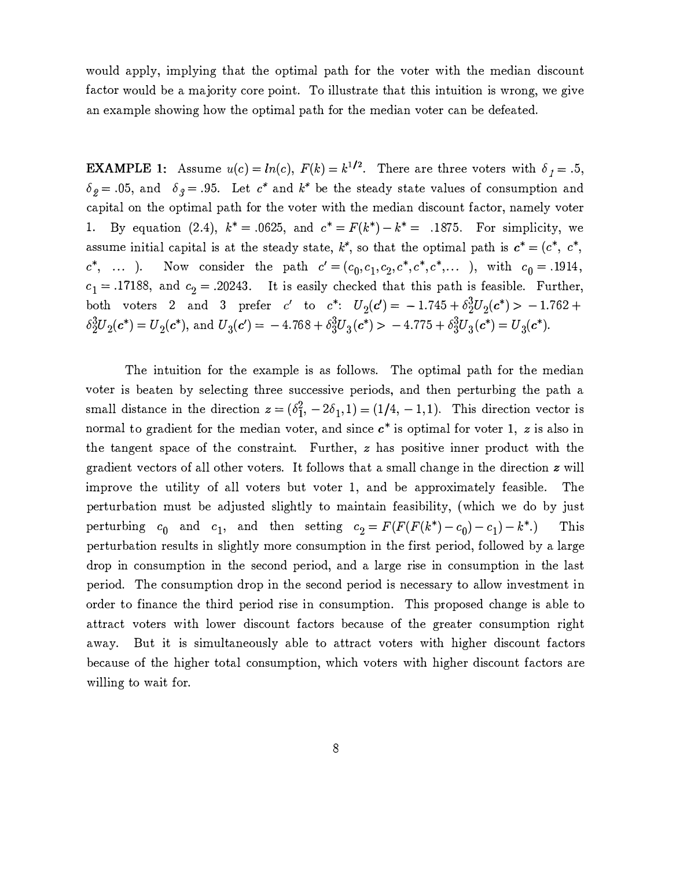would apply, implying that the optimal path for the voter with the median discount factor would be a majority core point. To illustrate that this intuition is wrong, we give an example showing how the optimal path for the median voter can be defeated.

**EXAMPLE 1:** Assume  $u(c) = ln(c)$ ,  $F(k) = k^{1/2}$ . There are three voters with  $\delta_1 = .5$ ,  $\delta_{\hat{g}} = .05$ , and  $\delta_{\hat{g}} = .95$ . Let  $c^*$  and  $k^*$  be the steady state values of consumption and capital on the optimal path for the voter with the median discount factor, namely voter 1. By equation (2.4),  $k^* = .0625$ , and  $c^* = F(k^*) - k^* = .1875$ . For simplicity, we assume initial capital is at the steady state,  $k^*$ , so that the optimal path is  $c^* = (c^*, c^*,$  $c^*$ , ... ). Now consider the path  $c' = (c_0, c_1, c_2, c^*, c^*, c^*, \dots)$ , with  $c_0 = .1914$ ,  $c_1 = .17188$ , and  $c_2 = .20243$ . It is easily checked that this path is feasible. Further, both voters 2 and 3 prefer c' to  $c^*$ :  $U_2(c') = -1.745 + \delta_2^3 U_2(c^*) > -1.762 +$  $\delta_2^3 U_2(\boldsymbol{c}^*) = U_2(\boldsymbol{c}^*)$ , and  $U_3(\boldsymbol{c}') = -4.768 + \delta_3^3 U_3(\boldsymbol{c}^*) - 4.775 + \delta_3^3 U_3(\boldsymbol{c}^*) = U_3(\boldsymbol{c}^*)$ .

The intuition for the example is as follows. The optimal path for the median voter is beaten by selecting three successive periods, and then perturbing the path a small distance in the direction  $z = (\delta_1^2, -2\delta_1, 1) = (1/4, -1, 1)$ . This direction vector is normal to gradient for the median voter, and since  $c^*$  is optimal for voter 1, z is also in the tangent space of the constraint. Further,  $z$  has positive inner product with the gradient vectors of all other voters. It follows that a small change in the direction z will improve the utility of all voters but voter 1, and be approximately feasible. The perturbation must be adjusted slightly to maintain feasibility, (which we do by just perturbing  $c_0$  and  $c_1$ , and then setting  $c_2 = F(F(F(k^*)-c_0)-c_1)-k^*$ .) This perturbation results in slightly more consumption in the first period, followed by a large drop in consumption in the second period, and a large rise in consumption in the last period. The consumption drop in the second period is necessary to allow investment in order to finance the third period rise in consumption. This proposed change is able to attract voters with lower discount factors because of the greater consumption right away. But it is simultaneously able to attract voters with higher discount factors because of the higher total consumption, which voters with higher discount factors are willing to wait for.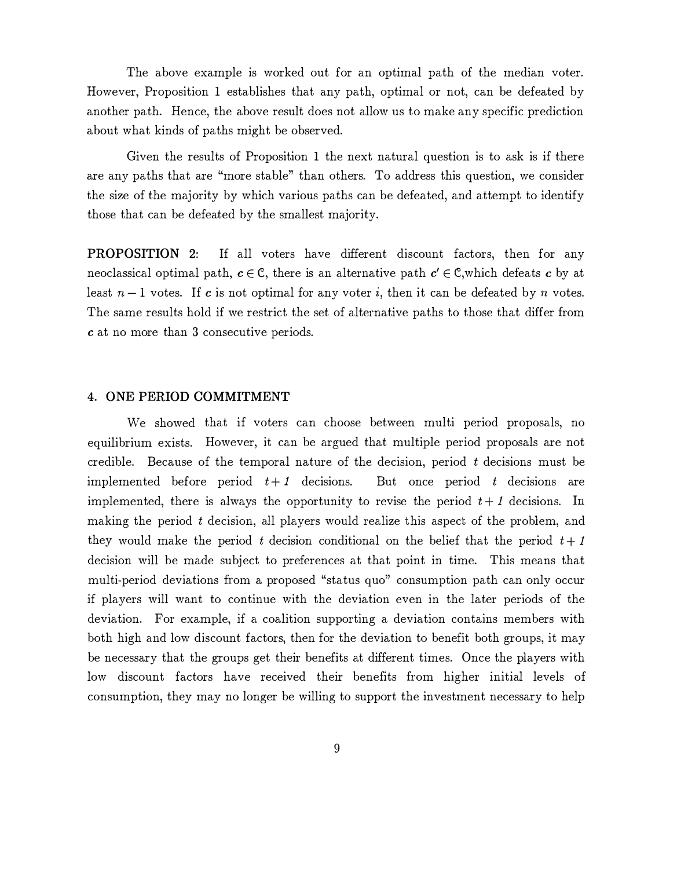The above example is worked out for an optimal path of the median voter. However, Proposition 1 establishes that any path, optimal or not, can be defeated by another path. Hence, the above result does not allow us to make any specific prediction about what kinds of paths might be observed.

Given the results of Proposition 1 the next natural question is to ask is if there are any paths that are "more stable" than others. To address this question, we consider the size of the majority by which various paths can be defeated, and attempt to identify those that can be defeated by the smallest majority.

PROPOSITION 2: If all voters have different discount factors, then for any neoclassical optimal path,  $c \in \mathbb{C}$ , there is an alternative path  $c' \in \mathbb{C}$ , which defeats c by at least  $n-1$  votes. If c is not optimal for any voter i, then it can be defeated by n votes. The same results hold if we restrict the set of alternative paths to those that differ from <sup>c</sup>at no more than 3 consecutive periods.

## 4. ONE PERIOD COMMITMENT

We showed that if voters can choose between multi period proposals, no equilibrium exists. However, it can be argued that multiple period proposals are not credible. Because of the temporal nature of the decision, period t decisions must be implemented before period  $t + 1$  decisions. But once period t decisions are implemented, there is always the opportunity to revise the period  $t + 1$  decisions. In making the period t decision, all players would realize this aspect of the problem, and they would make the period t decision conditional on the belief that the period  $t + 1$ decision will be made subject to preferences at that point in time. This means that multi-period deviations from a proposed "status quo" consumption path can only occur if players will want to continue with the deviation even in the later periods of the deviation. For example, if a coalition supporting a deviation contains members with both high and low discount factors, then for the deviation to benefit both groups, it may be necessary that the groups get their benefits at different times. Once the players with low discount factors have received their benefits from higher initial levels of consumption, they may no longer be willing to support the investment necessary to help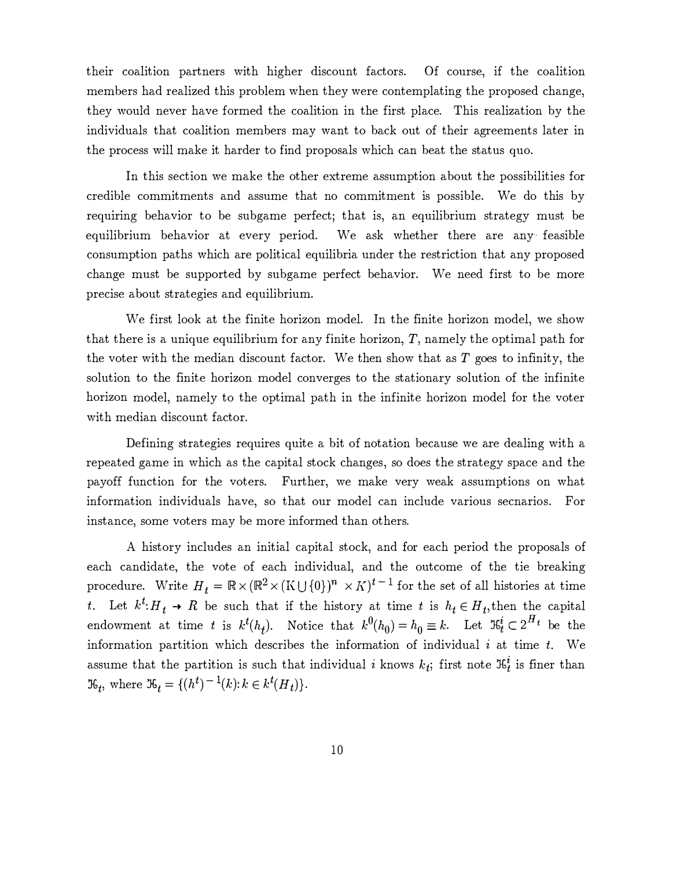their coalition partners with higher discount factors. Of course, if the coalition members had realized this problem when they were contemplating the proposed change, they would never have formed the coalition in the first place. This realization by the individuals that coalition members may want to back out of their agreements later in the process will make it harder to find proposals which can beat the status quo.

In this section we make the other extreme assumption about the possibilities for credible commitments and assume that no commitment is possible. We do this by requiring behavior to be subgame perfect; that is, an equilibrium strategy must be equilibrium behavior at every period. We ask whether there are any feasible consumption paths which are political equilibria under the restriction that any proposed change must be supported by subgame perfect behavior. We need first to be more precise about strategies and equilibrium.

We first look at the finite horizon model. In the finite horizon model, we show that there is a unique equilibrium for any finite horizon,  $T$ , namely the optimal path for the voter with the median discount factor. We then show that as  $T$  goes to infinity, the solution to the finite horizon model converges to the stationary solution of the infinite horizon model, namely to the optimal path in the infinite horizon model for the voter with median discount factor.

Defining strategies requires quite a bit of notation because we are dealing with a repeated game in which as the capital stock changes, so does the strategy space and the payoff function for the voters. Further, we make very weak assumptions on what information individuals have, so that our model can include various secnarios. For instance, some voters may be more informed than others.

A history includes an initial capital stock, and for each period the proposals of each candidate, the vote of each individual, and the outcome of the tie breaking procedure. Write  $H_t = \mathbb{R} \times (\mathbb{R}^2 \times (K \cup \{0\})^n \times K)^{t-1}$  for the set of all histories at time t. Let  $k^t$ :  $H_t \rightarrow R$  be such that if the history at time t is  $h_t \in H_t$ , then the capital endowment at time t is  $k^t(h_t)$ . Notice that  $k^0(h_0) = h_0 \equiv k$ . Let  $\mathfrak{R}_t^i \subset 2^{H_t}$  be the information partition which describes the information of individual  $i$  at time  $t$ . We assume that the partition is such that individual i knows  $k_t$ ; first note  $\mathcal{F}_t^i$  is finer than  $\mathfrak{R}_t$ , where  $\mathfrak{R}_t = \{(h^t)^{-1}(k) : k \in k^t(H_t)\}.$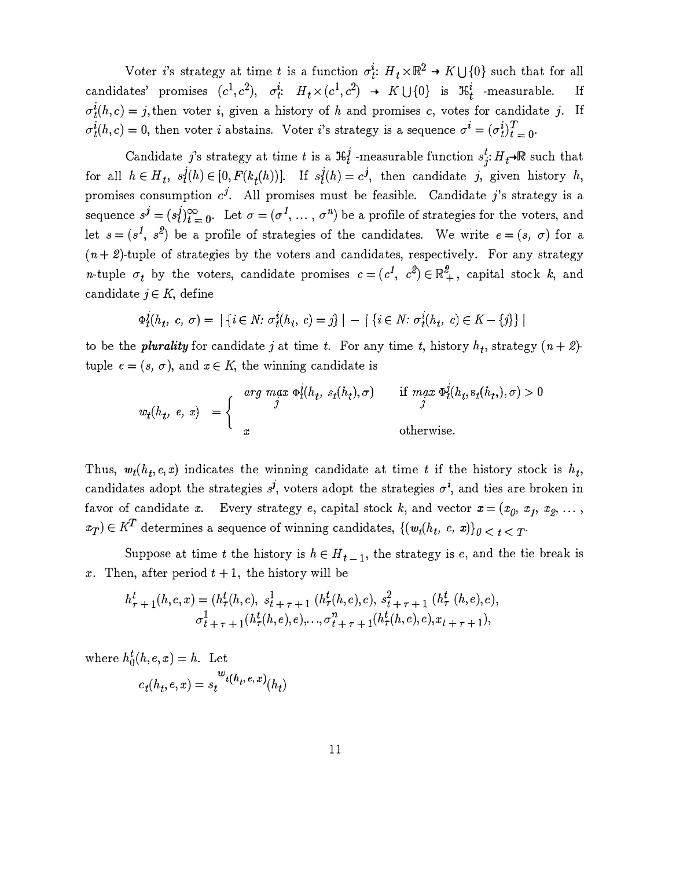Voter *i*'s strategy at time *t* is a function  $\sigma_t^i$ :  $H_t \times \mathbb{R}^2 \to K \cup \{0\}$  such that for all candidates' promises  $(c^1, c^2)$ ,  $\sigma_t^i$ :  $H_t \times (c^1, c^2)$   $\rightarrow$   $K \cup \{0\}$  is  $\mathfrak{R}_t^i$  -measurable. If  $\sigma_t^i(h,c) = j$ , then voter i, given a history of h and promises c, votes for candidate j. If  $\sigma_t^i(h,c) = 0$ , then voter *i* abstains. Voter *i*'s strategy is a sequence  $\sigma^i = (\sigma_t^i)_{t=0}^T$ .

Candidate j's strategy at time t is a  $\mathfrak{K}_i^j$ -measurable function  $s_i^t$ :  $H_t \rightarrow \mathbb{R}$  such that for all  $h \in H_t$ ,  $s_i^j(h) \in [0, F(k_i(h))]$ . If  $s_i^j(h) = c_j^j$ , then candidate j, given history h, promises consumption  $c^j$ . All promises must be feasible. Candidate j's strategy is a sequence  $s^{j} = (s_{i}^{j})_{i=0}^{\infty}$ . Let  $\sigma = (\sigma^{1}, \ldots, \sigma^{n})$  be a profile of strategies for the voters, and let  $s = (s^1, s^2)$  be a profile of strategies of the candidates. We write  $e = (s, \sigma)$  for a  $(n + 2)$ -tuple of strategies by the voters and candidates, respectively. For any strategy *n*-tuple  $\sigma_t$  by the voters, candidate promises  $c = (c^l, c^l) \in \mathbb{R}^2_+$ , capital stock k, and candidate  $j \in K$ , define

$$
\Phi_t^j(h_t, c, \sigma) = |\{i \in N: \sigma_t^i(h_t, c) = j\}| - |\{i \in N: \sigma_t^i(h_t, c) \in K - \{j\}\}|
$$

to be the *plurality* for candidate j at time t. For any time t, history  $h_t$ , strategy  $(n + 2)$ tuple  $e = (s, \sigma)$ , and  $x \in K$ , the winning candidate is

$$
w_t(h_t, e, x) = \begin{cases} \n\arg \max_{j} \Phi_t^j(h_t, s_t(h_t), \sigma) & \text{if } \max_{j} \Phi_t^j(h_t, s_t(h_t), \sigma) > 0 \\ \nx & \text{otherwise.}\n\end{cases}
$$

Thus,  $w_t(h_t, e, x)$  indicates the winning candidate at time t if the history stock is  $h_t$ , candidates adopt the strategies  $s^j$ , voters adopt the strategies  $\sigma^i$ , and ties are broken in favor of candidate x. Every strategy e, capital stock k, and vector  $x = (x_0, x_1, x_2, \ldots, x_n)$  $(x_T) \in K^T$  determines a sequence of winning candidates,  $\{(w_i(h_t, e, x)\}_0 < t < T^T$ 

Suppose at time t the history is  $h \in H_{t-1}$ , the strategy is e, and the tie break is x. Then, after period  $t + 1$ , the history will be

$$
h_{\tau+1}^t(h, e, x) = (h_{\tau}^t(h, e), s_{t+\tau+1}^1(h_{\tau}^t(h, e), e), s_{t+\tau+1}^2(h_{\tau}^t(h, e), e), \sigma_{t+\tau+1}^1(h_{\tau}^t(h, e), e), \dots, \sigma_{t+\tau+1}^n(h_{\tau}^t(h, e), e), x_{t+\tau+1}),
$$

where  $h_0^t(h, e, x) = h$ . Let  $\label{eq:ct} c_t(h_t,e,x)=s_t^{\text{ }w_{t(h_t,e,x)}}\!(h_t)$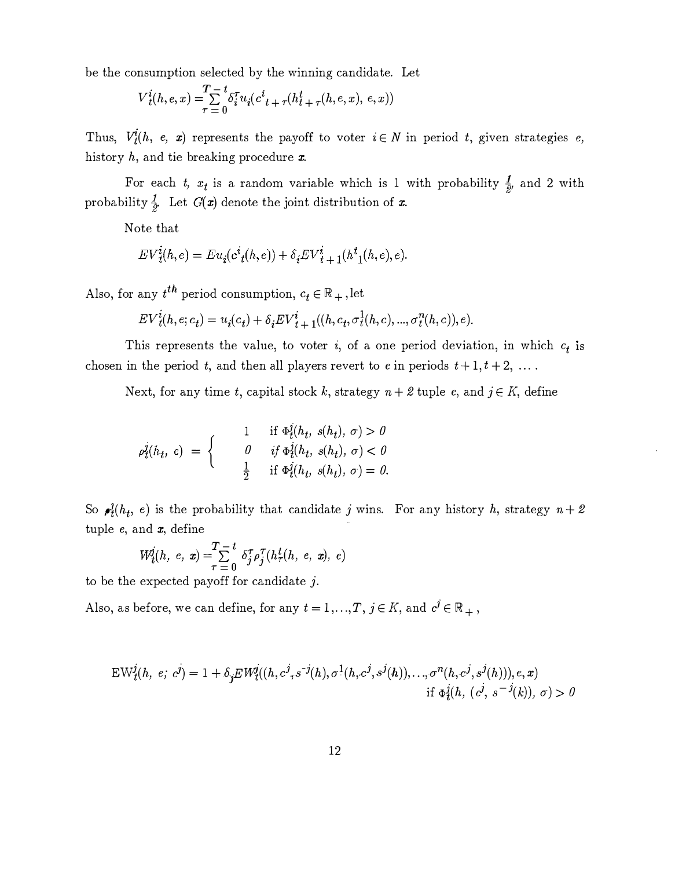be the consumption selected by the winning candidate. Let

$$
V_t^i(h, e, x) = \sum_{\tau=0}^{T-t} \delta_i^{\tau} u_i (c_{t+\tau}^i(h_t^t, e, x), e, x))
$$

Thus,  $V_i^i(h, e, x)$  represents the payoff to voter  $i \in N$  in period t, given strategies e, history  $h$ , and tie breaking procedure  $x$ .

For each t,  $x_t$  is a random variable which is 1 with probability  $\frac{1}{2}$ , and 2 with probability  $\frac{1}{2}$ . Let  $G(x)$  denote the joint distribution of x.

Note that

$$
EV_{t}^{i}(h, e) = Eu_{i}(c_{t}^{i}(h, e)) + \delta_{i} EV_{t+1}^{i}(h_{i}^{t}(h, e), e).
$$

Also, for any  $t^{th}$  period consumption,  $c_t \in \mathbb{R}_+$ , let

$$
EV_t^i(h, e; c_t) = u_i(c_t) + \delta_i EV_t^i + \mathbf{1}((h, c_t, \sigma_t^1(h, c), ..., \sigma_t^n(h, c)), e).
$$

This represents the value, to voter i, of a one period deviation, in which  $c_t$  is chosen in the period t, and then all players revert to e in periods  $t + 1, t + 2, \ldots$ .

Next, for any time t, capital stock k, strategy  $n + 2$  tuple e, and  $j \in K$ , define

$$
\rho_t^j(h_t, e) = \begin{cases}\n1 & \text{if } \Phi_t^j(h_t, s(h_t), \sigma) > 0 \\
0 & \text{if } \Phi_t^j(h_t, s(h_t), \sigma) < 0 \\
\frac{1}{2} & \text{if } \Phi_t^j(h_t, s(h_t), \sigma) = 0.\n\end{cases}
$$

So  $\rho_i^2(h_t, e)$  is the probability that candidate j wins. For any history h, strategy  $n+2$ tuple  $e$ , and  $\boldsymbol{x}$ , define

$$
W_{t}^{j}(h, e, x) = \sum_{\tau=0}^{T-1} \delta_{j}^{\tau} \rho_{j}^{\tau} (h_{\tau}^{t}(h, e, x), e)
$$

to be the expected payoff for candidate j.

Also, as before, we can define, for any  $t = 1, ..., T$ ,  $j \in K$ , and  $c^j \in \mathbb{R}_+$ ,

$$
EW_{t}^{j}(h, e; c^{j}) = 1 + \delta_{j} EW_{t}^{j}((h, c^{j}, s^{-j}(h), \sigma^{1}(h, c^{j}, s^{j}(h)), ..., \sigma^{n}(h, c^{j}, s^{j}(h))), e, x)
$$
  
if  $\Phi_{t}^{j}(h, (c^{j}, s^{-j}(k)), \sigma) > 0$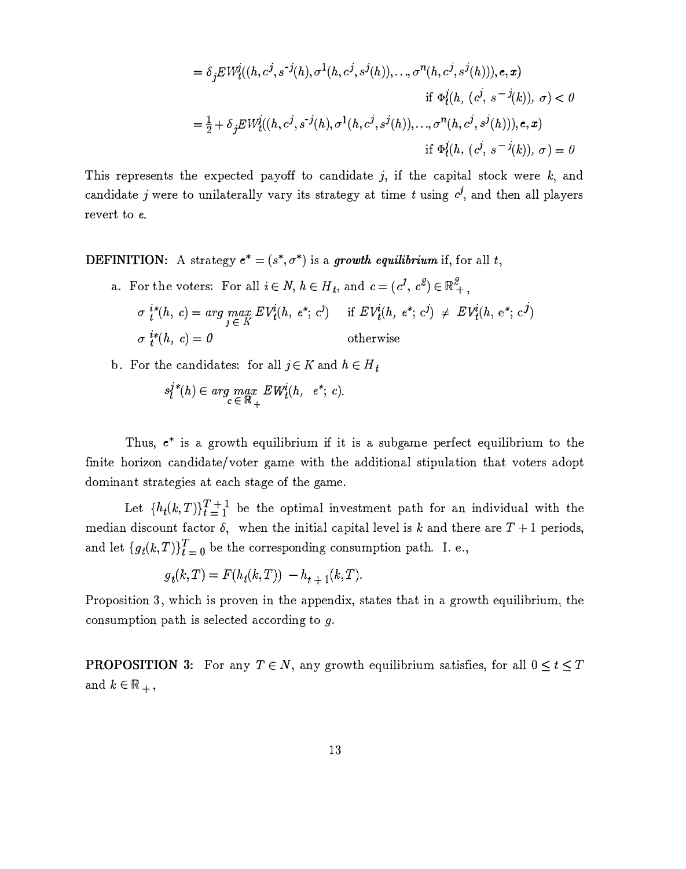$$
= \delta_j E W^j_t((h, c^j, s^{-j}(h), \sigma^1(h, c^j, s^j(h)), ..., \sigma^n(h, c^j, s^j(h))), e, x)
$$
  
\nif  $\Phi^j_t(h, (c^j, s^{-j}(k)), \sigma) < 0$   
\n
$$
= \frac{1}{2} + \delta_j E W^j_t((h, c^j, s^{-j}(h), \sigma^1(h, c^j, s^j(h)), ..., \sigma^n(h, c^j, s^j(h))), e, x)
$$
  
\nif  $\Phi^j_t(h, (c^j, s^{-j}(k)), \sigma) = 0$ 

This represents the expected payoff to candidate j, if the capital stock were  $k$ , and candidate j were to unilaterally vary its strategy at time t using  $c^j$ , and then all players revert to e.

**DEFINITION:** A strategy  $e^* = (s^*, \sigma^*)$  is a growth equilibrium if, for all t,

- a. For the voters: For all  $i \in N$ ,  $h \in H_t$ , and  $c = (c^1, c^2) \in \mathbb{R}^2_+$ ,  $\sigma \, \frac{i*(h, c)}{t} = \arg \max_{\sigma \in \mathcal{L}_L^L} EV_i^i(h, e^*, c^j) \quad \text{ if } EV_i^i(h, e^*, c^j) \ \neq \ EV_i^i(h, e^*, c^j)$  $j \in K$  $\sigma \, i^{*}(h, c) = 0$  otherwise
- b. For the candidates: for all  $j \in K$  and  $h \in H_t$

$$
s_l^{j*}(h) \in \arg\max_{c \in \mathbb{R}_+} EW_l^i(h, e^*; c).
$$

Thus,  $e^*$  is a growth equilibrium if it is a subgame perfect equilibrium to the finite horizon candidate/voter game with the additional stipulation that voters adopt dominant strategies at each stage of the game.

Let  $\{h_t(k,T)\}_{t=1}^{T+1}$  be the optimal investment path for an individual with the median discount factor  $\delta$ , when the initial capital level is k and there are  $T+1$  periods, and let  ${g_t(k,T)}_{t=0}^T$  be the corresponding consumption path. I. e.,

$$
g_t(k,T) = F(h_t(k,T)) - h_{t+1}(k,T).
$$

Proposition 3, which is proven in the appendix, states that in a growth equilibrium, the consumption path is selected according to g.

**PROPOSITION 3:** For any  $T \in N$ , any growth equilibrium satisfies, for all  $0 \le t \le T$ and  $k \in \mathbb{R}_+$ ,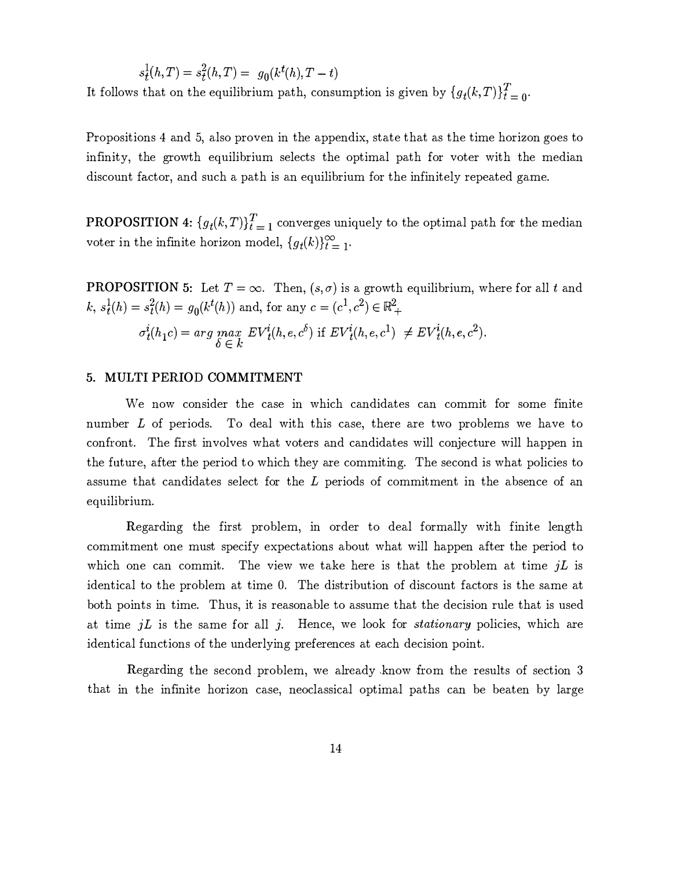$$
s_t^1(h,T) = s_t^2(h,T) = g_0(k^t(h), T - t)
$$
  
It follows that on the equilibrium path, consumption is given by  $\{g_t(k,T)\}_{t=0}^T$ .

Propositions 4 and 5, also proven in the appendix, state that as the time horizon goes to infinity, the growth equilibrium selects the optimal path for voter with the median discount factor, and such a path is an equilibrium for the infinitely repeated game.

**PROPOSITION 4:**  ${g_t(k,T)}_{t=1}^T$  converges uniquely to the optimal path for the median voter in the infinite horizon model,  $\{g_t(k)\}_{t=1}^{\infty}$ . .

**PROPOSITION 5:** Let  $T = \infty$ . Then,  $(s, \sigma)$  is a growth equilibrium, where for all t and  $k, s_t^1(h) = s_t^2(h) = g_0(k^t(h))$  and, for any  $c = (c^1, c^2) \in \mathbb{R}_+^2$  $\sigma_t^i(h_1c) = \arg \max_{k'} \ EV^i_t(h,e,c^{\delta}) \text{ if } EV^i_t(h,e,c^1) \ \neq EV^i_t(h,e,c^2).$ 

#### 5. MULTI PERIOD COMMITMENT

 $\delta \in k$ 

We now consider the case in which candidates can commit for some finite number L of periods. To deal with this case, there are two problems we have to confront. The first involves what voters and candidates will conjecture will happen in the future, after the period to which they are commiting. The second is what policies to assume that candidates select for the L periods of commitment in the absence of an equilibrium.

Regarding the first problem, in order to deal formally with finite length commitment one must specify expectations about what will happen after the period to which one can commit. The view we take here is that the problem at time  $jL$  is identical to the problem at time 0. The distribution of discount factors is the same at both points in time. Thus, it is reasonable to assume that the decision rule that is used at time  $iL$  is the same for all  $j$ . Hence, we look for *stationary* policies, which are identical functions of the underlying preferences at each decision point.

Regarding the second. problem, we already .know from the results of section 3 that in the infinite horizon case, neoclassical optimal paths can be beaten by large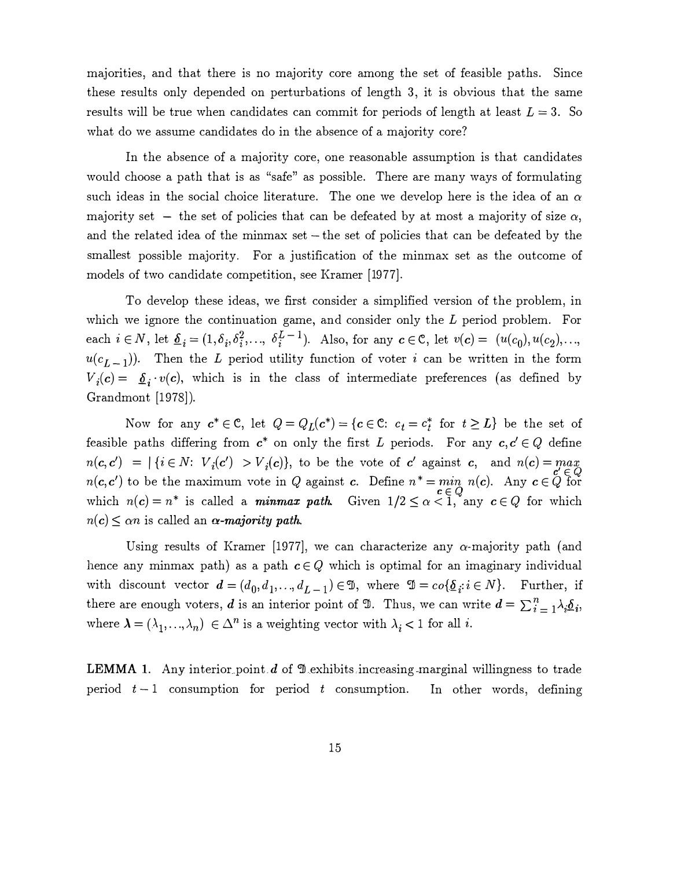majorities, and that there is no majority core among the set of feasible paths. Since these results only depended on perturbations of length 3, it is obvious that the same results will be true when candidates can commit for periods of length at least  $L = 3$ . So what do we assume candidates do in the absence of a majority core?

In the absence of a majority core, one reasonable assumption is that candidates would choose a path that is as "safe" as possible. There are many ways of formulating such ideas in the social choice literature. The one we develop here is the idea of an  $\alpha$ majority set - the set of policies that can be defeated by at most a majority of size  $\alpha$ , and the related idea of the minmax set – the set of policies that can be defeated by the smallest possible majority. For a justification of the minmax set as the outcome of models of two candidate competition, see Kramer [1977].

To develop these ideas, we first consider a simplified version of the problem, in which we ignore the continuation game, and consider only the L period problem. For each  $i \in N$ , let  $\underline{\delta}_i = (1, \delta_i, \delta_i^2, \ldots, \delta_i^{L-1})$ . Also, for any  $c \in \mathbb{C}$ , let  $v(c) = (u(c_0), u(c_2), \ldots,$  $u(c_{L-1})$ ). Then the L period utility function of voter i can be written in the form  $V_i(c) = \delta_i \cdot v(c)$ , which is in the class of intermediate preferences (as defined by Grandmont [1978]).

Now for any  $c^* \in \mathbb{C}$ , let  $Q = Q_L(c^*) = \{c \in \mathbb{C}: c_t = c_t^* \text{ for } t \geq L\}$  be the set of feasible paths differing from  $c^*$  on only the first L periods. For any  $c, c' \in Q$  define  $n(c, c') = |\{i \in N: V_i(c') > V_i(c)\}\rangle$ , to be the vote of c' against c, and  $n(c) = max_{c \in C}$  $n(c, c')$  to be the maximum vote in Q against c. Define  $n^* = \min_{c \in \Omega} n(c)$ . Any  $c \in Q$  for which  $n(c) = n^*$  is called a **minmax path.** Given  $1/2 \leq \alpha \leq 1$ , any  $c \in Q$  for which  $n(c) \leq \alpha n$  is called an  $\alpha$ -majority path.

Using results of Kramer [1977], we can characterize any  $\alpha$ -majority path (and hence any minmax path) as a path  $c \in Q$  which is optimal for an imaginary individual with discount vector  $d = (d_0, d_1, \ldots, d_{L-1}) \in \mathfrak{B}$ , where  $\mathfrak{B} = co\{\underline{\delta}_i : i \in N\}$ . Further, if there are enough voters, d is an interior point of  $\mathfrak{D}$ . Thus, we can write  $d = \sum_{i=1}^n \lambda_i \underline{\delta}_i$ , where  $\lambda = (\lambda_1, ..., \lambda_n) \in \Delta^n$  is a weighting vector with  $\lambda_i < 1$  for all i.

**LEMMA 1.** Any interior point  $d$  of  $\mathcal{D}$  exhibits increasing marginal willingness to trade period  $t-1$  consumption for period t consumption. In other words, defining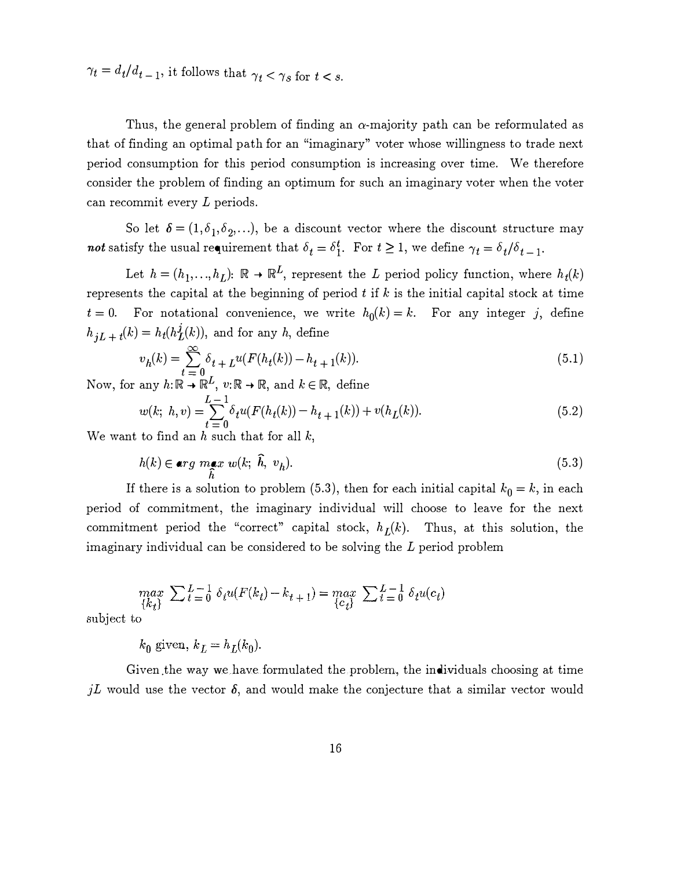$\gamma_t = d_t/d_{t-1}$ , it follows that  $\gamma_t < \gamma_s$  for  $t < s$ .

Thus, the general problem of finding an  $\alpha$ -majority path can be reformulated as that of finding an optimal path for an "imaginary" voter whose willingness to trade next period consumption for this period consumption is increasing over time. We therefore consider the problem of finding an optimum for such an imaginary voter when the voter can recommit every L periods.

So let  $\delta = (1, \delta_1, \delta_2, \ldots)$ , be a discount vector where the discount structure may not satisfy the usual requirement that  $\delta_t = \delta_1^t$ . For  $t \geq 1$ , we define  $\gamma_t = \delta_t/\delta_{t-1}$ .

Let  $h = (h_1, ..., h_L)$ :  $\mathbb{R} \to \mathbb{R}^L$ , represent the L period policy function, where  $h_t(k)$ represents the capital at the beginning of period  $t$  if  $k$  is the initial capital stock at time  $t = 0$ . For notational convenience, we write  $h_0(k) = k$ . For any integer j, define  $h_{jL+t}(k) = h_t(h_L^j(k))$ , and for any h, define

$$
v_h(k) = \sum_{t=0}^{\infty} \delta_{t+L} u(F(h_t(k)) - h_{t+1}(k)).
$$
\n(5.1)

Now, for any  $h: \mathbb{R} \to \mathbb{R}^L$ ,  $v: \mathbb{R} \to \mathbb{R}$ , and  $k \in \mathbb{R}$ , define

$$
w(k; h, v) = \sum_{t=0}^{L-1} \delta_t u(F(h_t(k)) - h_{t+1}(k)) + v(h_L(k)).
$$
\n(5.2)

We want to find an  $h$  such that for all  $k$ ,

$$
h(k) \in \arg\max_{\hat{h}} w(k; \ \hat{h}, \ v_h). \tag{5.3}
$$

If there is a solution to problem (5.3), then for each initial capital  $k_0 = k$ , in each period of commitment, the imaginary individual will choose to leave for the next commitment period the "correct" capital stock,  $h_L(k)$ . Thus, at this solution, the imaginary individual can be considered to be solving the L period problem

$$
\max_{\{k_t\}} \ \sum \limits_{t=0}^{L-1} \ \delta_t u(F(k_t) - k_{t+1}) = \max_{\{c_t\}} \ \sum \limits_{t=0}^{L-1} \ \delta_t u(c_t)
$$

subject to

 $k_0$  given,  $k_L = h_L(k_0)$ .

Given .the way we have formulated the problem, the individuals choosing at time jL would use the vector  $\delta$ , and would make the conjecture that a similar vector would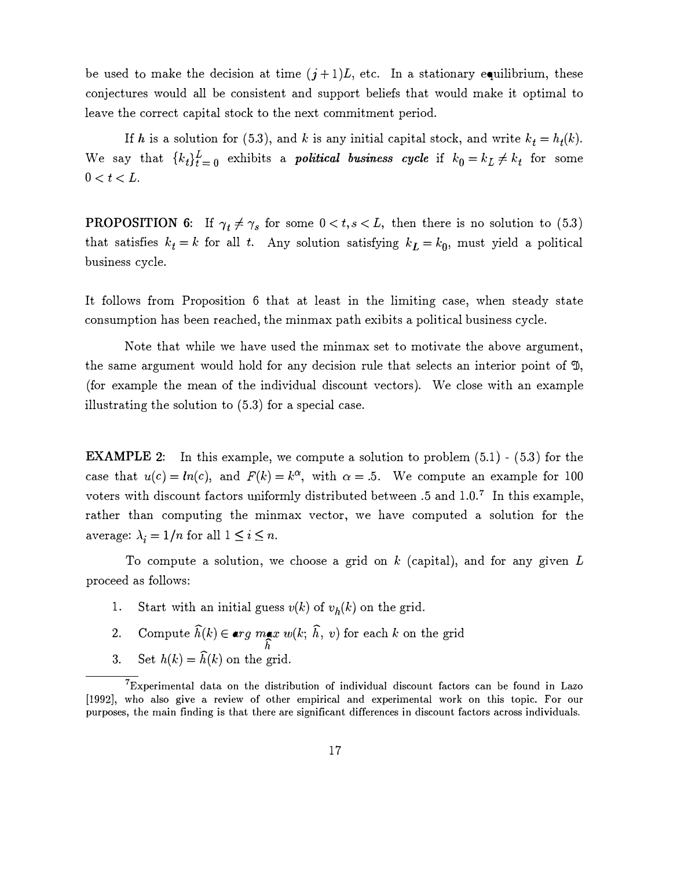be used to make the decision at time  $(j+1)L$ , etc. In a stationary equilibrium, these conjectures would all be consistent and support beliefs that would make it optimal to leave the correct capital stock to the next commitment period.

If h is a solution for (5.3), and k is any initial capital stock, and write  $k_t = h_t(k)$ . We say that  ${k_t}_{t=0}^L$  exhibits a *political business cycle* if  $k_0 = k_L \neq k_t$  for some  $0 < t < L$ .

**PROPOSITION 6:** If  $\gamma_t \neq \gamma_s$  for some  $0 < t, s < L$ , then there is no solution to (5.3) that satisfies  $k_t = k$  for all t. Any solution satisfying  $k_L = k_0$ , must yield a political business cycle.

It follows from Proposition 6 that at least in the limiting case, when steady state consumption has been reached, the minmax path exibits a political business cycle.

Note that while we have used the minmax set to motivate the above argument, the same argument would hold for any decision rule that selects an interior point of  $\mathfrak{D}$ , (for example the mean of the individual discount vectors). We close with an example illustrating the solution to (5.3) for a special case.

**EXAMPLE 2:** In this example, we compute a solution to problem  $(5.1)$  -  $(5.3)$  for the case that  $u(c) = ln(c)$ , and  $F(k) = k^{\alpha}$ , with  $\alpha = 0.5$ . We compute an example for 100 voters with discount factors uniformly distributed between  $.5$  and  $1.0$ .<sup>7</sup> In this example, rather than computing the minmax vector, we have computed a solution for the average:  $\lambda_i = 1/n$  for all  $1 \leq i \leq n$ .

To compute a solution, we choose a grid on  $k$  (capital), and for any given  $L$ proceed as follows:

- 1. Start with an initial guess  $v(k)$  of  $v_h(k)$  on the grid.
- 2. Compute  $\widehat{h}(k) \in \arg\max_{k} w(k; \widehat{h}, v)$  for each k on the grid
- h 3. Set  $h(k) = \hat{h}(k)$  on the grid.

<sup>7</sup>Experimental data on the distribution of individual discount factors can be found in Lazo [1992], who also give a review of other empirical and experimental work on this topic. For our purposes, the main finding is that there are significant differences in discount factors across individuals.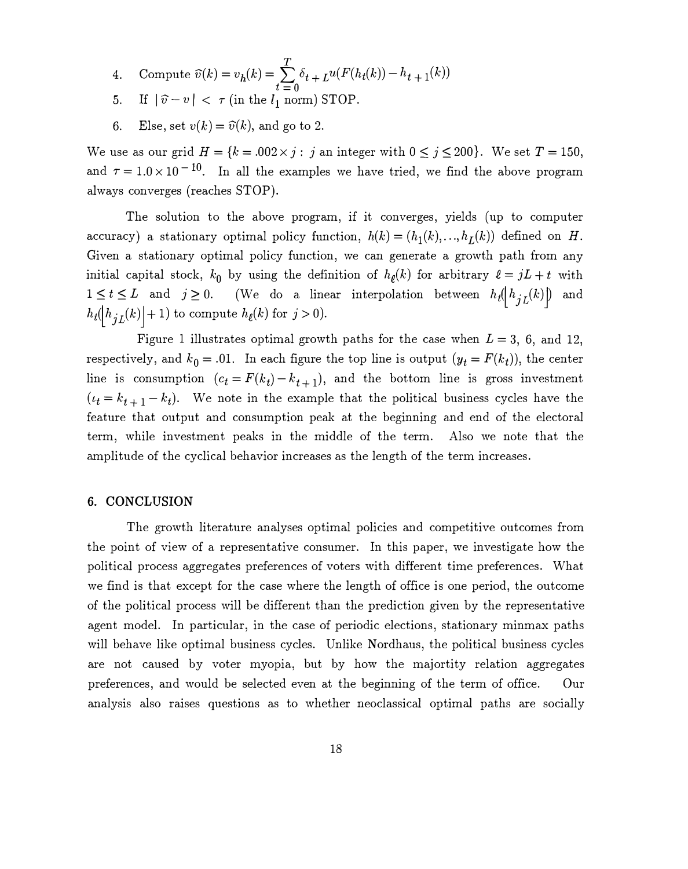- 4. Compute  $\widehat{v}(k) = v_h(k) = \sum_{k=1}^{T} \delta_{t+k} u(F(h_t(k)) h_{t+1}(k))$  $t=0$
- 5. If  $|\hat{v}-v| < \tau$  (in the  $l_1$  norm) STOP.
- 6. Else, set  $v(k) = \hat{v}(k)$ , and go to 2.

We use as our grid  $H = \{k = 0.002 \times j : j \text{ an integer with } 0 \le j \le 200\}.$  We set  $T = 150$ , and  $\tau = 1.0 \times 10^{-10}$ . In all the examples we have tried, we find the above program always converges (reaches STOP).

The solution to the above program, if it converges, yields (up to computer accuracy) a stationary optimal policy function,  $h(k) = (h_1(k),...,h_L(k))$  defined on H. Given a stationary optimal policy function, we can generate a growth path from any initial capital stock,  $k_0$  by using the definition of  $h_{\ell}(k)$  for arbitrary  $\ell = jL + t$  with  $1 \leq t \leq L$  and  $j \geq 0$ . (We do a linear interpolation between  $h_t([h_{jL}(k)])$  and  $h_t(\lfloor h_{jL}(k)\rfloor + 1)$  to compute  $h_{\ell}(k)$  for  $j > 0$ ).

Figure 1 illustrates optimal growth paths for the case when  $L = 3$ , 6, and 12, respectively, and  $k_0 = .01$ . In each figure the top line is output  $(y_t = F(k_t))$ , the center line is consumption  $(c_t = F(k_t) - k_{t+1})$ , and the bottom line is gross investment  $(i_t = k_{t+1} - k_t)$ . We note in the example that the political business cycles have the feature that output and consumption peak at the beginning and end of the electoral term, while investment peaks in the middle of the term. Also we note that the amplitude of the cyclical behavior increases as the length of the term increases.

### 6. CONCLUSION

The growth literature analyses optimal policies and competitive outcomes from the point of view of a representative consumer. In this paper, we investigate how the political process aggregates preferences of voters with different time preferences. What we find is that except for the case where the length of office is one period, the outcome of the political process will be different than the prediction given by the representative agent model. In particular, in the case of periodic elections, stationary minmax paths will behave like optimal business cycles. Unlike Nordhaus, the political business cycles are not caused by voter myopia, but by how the majortity relation aggregates preferences, and would be selected even at the beginning of the term of office. Our analysis also raises questions as to whether neoclassical optimal paths are socially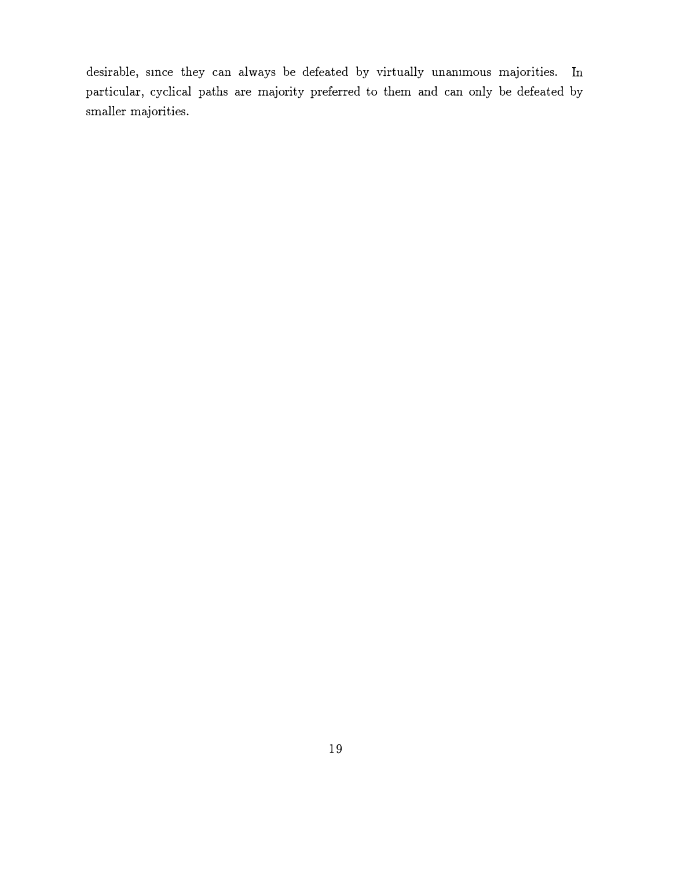desirable, smce they can always be defeated by virtually unammous majorities. In particular, cyclical paths are majority preferred to them and can only be defeated by smaller majorities.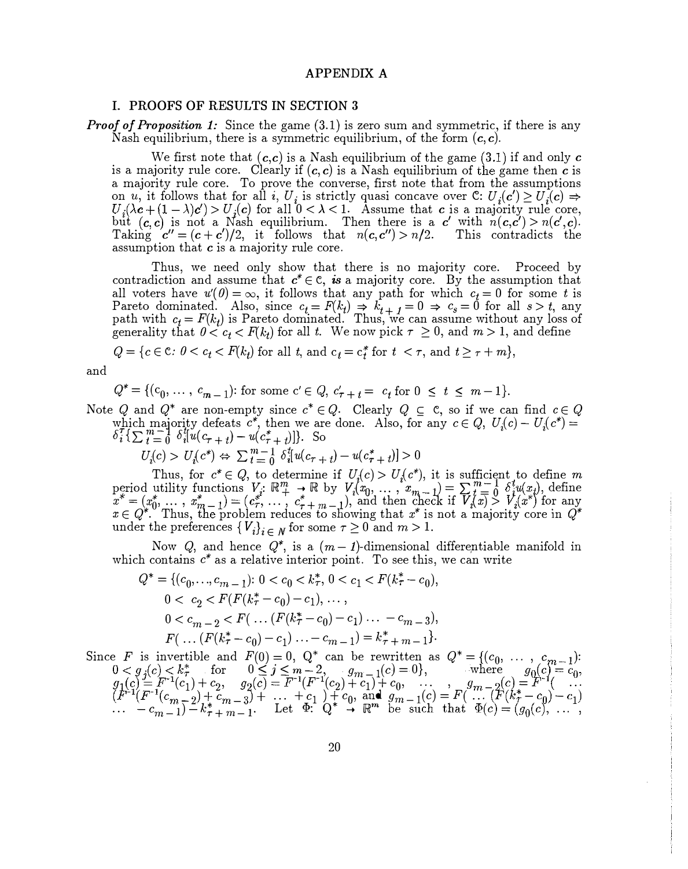#### APPENDIX A

#### I. PROOFS OF RESULTS IN SECTION <sup>3</sup>

**Proof of Proposition 1:** Since the game  $(3.1)$  is zero sum and symmetric, if there is any Nash equilibrium, there is a symmetric equilibrium, of the form  $(c, c)$ .

We first note that  $(c, c)$  is a Nash equilibrium of the game  $(3.1)$  if and only c is a majority rule core. Clearly if  $(c, c)$  is a Nash equilibrium of the game then c is a majority rule core. To prove the converse, first note that from the assumptions on u, it follows that for all i,  $U_i$  is strictly quasi concave over C:  $U_i(c') \ge U_i(c) \Rightarrow$  $U_i(\lambda c + (1 - \lambda)c') > U_j(c)$  for all  $0 < \lambda < 1$ . Assume that c is a majority rule core, but  $(c, c)$  is not a Nash equilibrium. Then there is a c' with  $n(c, c') > n(c', c)$ . Taking  $c'' = (c + c')/2$ , it follows that  $n(c, c'') > n/2$ . This contradicts the assumption that  $c$  is a majority rule core.

Thus, we need only show that there is no majority core. Proceed by contradiction and assume that  $c^* \in \mathbb{C}$ , is a majority core. By the assumption that all voters have  $u'(0) = \infty$ , it follows that any path for which  $c_t = 0$  for some t is Pareto dominated. Also, since  $c_t = F(k_t) \Rightarrow k_{t+1} = 0 \Rightarrow c_s = 0$  for all  $s > t$ , any path with  $c_t = F(k_t)$  is Pareto dominated. Thus, we can assume without any loss of generality that  $0 < c_t < F(k_t)$  for all t. We now pick  $\tau \geq 0$ , and  $m > 1$ , and define

 $Q = \{c \in \mathbb{C}: 0 < c_t < F(k_t) \text{ for all } t, \text{ and } c_t = c_t^* \text{ for } t < \tau, \text{ and } t \geq \tau + m\},\$ 

and

$$
Q^* = \{ (c_0, \ldots, c_{m-1}) \colon \text{for some } c \in Q, c_{\tau+1}' = c_t \text{ for } 0 \le t \le m-1 \}.
$$

Note Q and  $Q^*$  are non-empty since  $c^* \in Q$ . Clearly  $Q \subseteq C$ , so if we can find  $c \in Q$ which majority defeats  $c^*$ , then we are done. Also, for any  $c \in Q$ ,  $U_i(c) - U_i(c^*) =$  $\delta_i^{\tau} \{\sum_{t=0}^{m-1} \delta_i^t [u(c_{\tau+t}) - u(c_{\tau+t}^*)]\}.$  So

$$
U_i(c) > U_i(c^*) \Leftrightarrow \sum_{t=0}^{m-1} \delta_i^t [u(c_{\tau+1}) - u(c_{\tau+1})] > 0
$$

Thus, for  $c^* \in Q$ , to determine if  $U_i(c) > U_i(c^*)$ , it is sufficient to define m period utility functions  $V_i: \mathbb{R}^m_+ \to \mathbb{R}$  by  $V_i(x_0, \ldots, x_{m-1}) = \sum_{k=0}^{m-1} \delta_i^t u(x_i)$ , define .  $x^* = (x_0^*, \ldots, x_{m-1}^*) = (c_r^*, \ldots, c_{r+m-1}^*)$ , and then check if  $\overline{V}_i(\overline{x}) \overset{\circ}{>} V_i(\overline{x})$  for any  $x \in \Omega^*$  Thus the problem reduces to showing that  $x^*$  is not a majority core in  $\Omega^*$  $x \in Q^*$ . Thus, the problem reduces to showing that  $x^*$  is not a majority core in  $Q^*$ under the preferences  ${V_i}_{i \in N}$  for some  $\tau \geq 0$  and  $m > 1$ .

Now Q, and hence  $Q^*$ , is a  $(m-1)$ -dimensional differentiable manifold in which contains  $c^*$  as a relative interior point. To see this, we can write

$$
Q^* = \{ (c_0, \ldots, c_{m-1}) : 0 < c_0 < k_\tau^*, 0 < c_1 < F(k_\tau^* - c_0),
$$
\n
$$
0 < c_2 < F(F(k_\tau^* - c_0) - c_1), \ldots,
$$
\n
$$
0 < c_{m-2} < F(\ldots (F(k_\tau^* - c_0) - c_1) \ldots - c_{m-3}),
$$
\n
$$
F(\ldots (F(k_\tau^* - c_0) - c_1) \ldots - c_{m-1}) = k_\tau^* + m - 1 \}.
$$

Since F is invertible and  $F(0) = 0$ ,  $Q^*$  can be rewritten as  $Q^* = \{(c_0, \ldots, c_{m-1}) : 0 < q_i(c) < k^*_\tau \text{ for } 0 \leq j \leq m-2, \ldots, q_{m-1}(c) = 0\}$ , where  $q_0(c) = c_0$ .  $0 < g_j(c) < k^*$  for  $0 \le j \le m-2$ ,  $g_{m-1}(c) = 0$ , where  $g_0(c) = c_0$ ,<br>  $g_1(c) = F^{-1}(c_1) + c_0$ ,  $g_0(c) = F^{-1}(F^{-1}(c_0) + c_1) + c_0$ ,  $g_{m-1}(c) = F^{-1}(c_1)$  $g_1(c) = F^{-1}(c_1) + c_2, \quad g_2(c) = F^{-1}(F^{-1}(c_2) + c_1) + c_0, \quad \dots, \quad g_{m-2}(c) = F^{-1}(c_1) + c_2,$  $(F^{-1}(F^{-1}(c_{m-2}) + c_{m-3}) + ... + c_1) + c_0$ , and  $g_{m-1}^0(c) = F($ ...<br>  $\cdots - c_{m-1}^0) - k_{n+m-1}^*$ . Let  $\Phi: Q^* \to \mathbb{R}^m$  be such that  $\Phi(c)$  $\overset{0}{\mathcal{C}}\, \overset{\text{re}}{F} \overset{c)}{F} \overset{F}{\mathcal{F}} \overset{k}{=} \overset{1}{\mathcal{F}} \overset{1}{\mathcal{F}} \overset{k}{\mathcal{F}}$  $(k_{\mathcal{T}}^* - c_0) - c_1)$  $\therefore$   $-c_{m-1}$  $\overline{c_{m-1}}$  $\overline{c_{m}}$  $\overline{c_{m}}$  $\overline{c_{m-1}}$ . Let  $\Phi$ :  $\overline{Q^*}$   $\overline{Q^*}$   $\overline{R^m}$  be such that  $\Phi(c) = (g_0(c), \ldots, g_n)$ .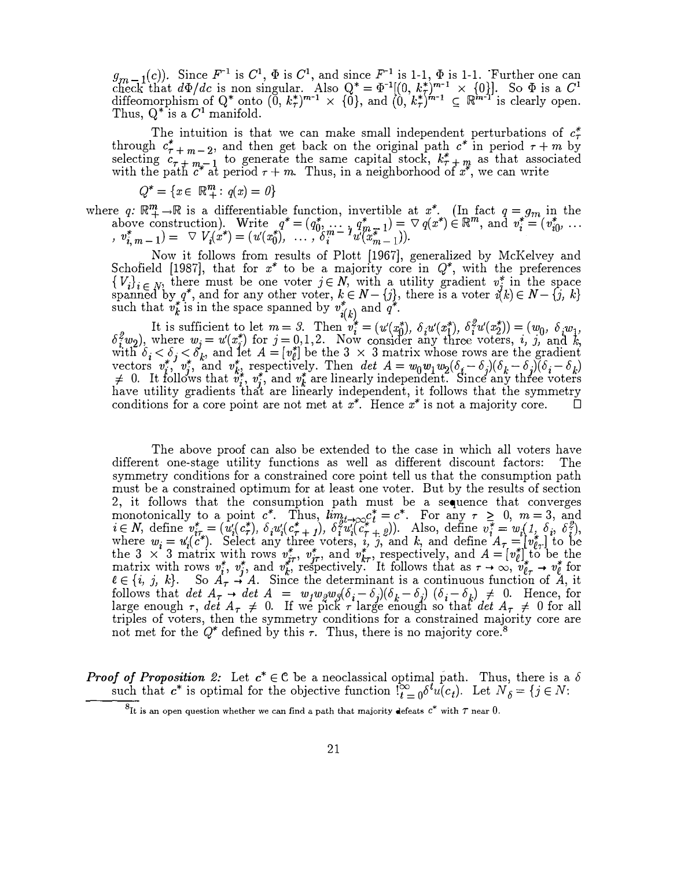$g_{m-1}(c)$ . Since  $F^{-1}$  is  $C^1$ ,  $\Phi$  is  $C^1$ , and since  $F^{-1}$  is 1-1,  $\Phi$  is 1-1. Further one can check that  $d\Phi/dc$  is non singular. Also  $Q^* = \Phi^{-1}[(0, k_{\tau}^*)^{m-1} \times (0)]$ . So  $\Phi$  is a  $C^1$ diffeomorphism of  $Q^*$  onto  $(0, k^*_\tau)^{m-1} \times \{0\}$ , and  $(0, k^*_\tau)^{m-1} \subseteq \mathbb{R}^{m-1}$  is clearly open. Thus,  $Q^*$  is a  $C^1$  manifold.

The intuition is that we can make small independent perturbations of  $c^*$ through  $c^*_{\tau+m-2}$ , and then get back on the original path  $c^*$  in period  $\tau+m$  by selecting  $c_{7} + m-1$  to generate the same capital stock,  $k_{7}^{*} + m$  as that associated with the path  $c^*$  at period  $\tau + m$ . Thus, in a neighborhood of  $x^*$ , we can write

$$
Q^* = \{ x \in \mathbb{R}_+^m : q(x) = 0 \}
$$

where q:  $\mathbb{R}^m_+ \to \mathbb{R}$  is a differentiable function, invertible at  $x^*$ . (In fact  $q = g_m$  in the e q:  $\mathbb{R}^m$  is a differentiable function, invertible at x. (In fact  $q = g_m$  in the above construction). Write  $q^* = (q_0^*, \dots, q_{m-1}^*) = \nabla q(x^*) \in \mathbb{R}^m$ , and  $v_i^* = (v_{i0}^*, \dots, v_{m-1}^*) = \nabla q(x^*)$ above construction). Write  $q = (q_0, \dots, q_m, 1) = \sqrt{q_m}$ <br>  $, v_{i,m-1}^* = \sqrt{V_i(x^*)} = (u'(x_0^*), \dots, \delta_i^m - u'(x_{m-1}^*)$ .

, Now it follows from results of Plott [1967], generalized by McKelvey and Schofield [1987], that for  $x^*$  to be a majority core in  $Q^*$ , with the preferences  $\{V_i\}_{i \in N}$ , there must be one voter  $j \in N$ , with a utility gradient  $v_j^*$  in the space spanned by  $q^*$ , and for any other voter,  $k \in N - \{j\}$ , there is a voter  $i(k) \in N - \{j, k\}$ such that  $v_k^*$  is in the space spanned by  $v_{i(k)}^*$  and  $q^*$ . k

It is sufficient to let  $m = 3$ . Then  $v_i^* = (u'(x_0^*), \delta_i u'(x_1^*), \delta_i^2 u'(x_2^*)) = (w_0, \delta_i w_1,$  $\delta_i^2 w_2$ ), where  $w_j = u'(x_j^*)$  for  $j = 0,1,2$ . Now consider any three voters, i, j, and k, with  $\delta_i < \delta_j < \delta'_k$ , and let  $A = [v_{\ell}^*]$  be the 3  $\times$  3 matrix whose rows are the gradient vectors  $v_i^*, v_j^*,$  and  $v_k^*$ , respectively. Then det  $A = w_0 w_1 w_2 (\delta_i - \delta_j)(\delta_k - \delta_j)(\delta_i - \delta_k)$ <br>  $\neq 0$  It follows that  $v_i^*$  and  $v_i^*$  are linearly independent. Since any three voters  $\neq$  0. It follows that  $v_i^*, v_j^*$ , and  $v_k^*$  are linearly independent. Since any three voters have utility gradients that are linearly independent, it follows that the symmetry conditions for a core point are not met at  $x^*$ . Hence  $x^*$  is not a majority core.  $\Box$ 

The above proof can also be extended to the case in which all voters have different one-stage utility functions as well as different discount factors: The symmetry conditions for a constrained core point tell us that the consumption path must be a constrained optimum for at least one voter. But by the results of section 2, it follows that the consumption path must be a sequence that converges monotonically to a point  $c^*$ . Thus,  $\lim_{t\to\infty}c_t^* = c^*$ . For any  $\tau \geq 0$ ,  $m = 3$ , and  $i\in\mathcal{N}$ , define  $v_{i\tau}^*=(u_i'(c_{\tau}^*),\delta_i u_i'(c_{\tau+1}^*),\delta_i^2 u_i'(\widetilde{c}_{\tau+2}^*)$ ). Also, define  $v_i^*=w_i(1,\delta_i,\delta_i^2)$ , where  $w_i = u_i'(c^*)$ . Select any three voters, i, j, and k, and define  $A_{\tau} = [v_{\ell_{\tau}}^*]$  to be the 3  $\times$  3 matrix with rows  $v_{j\tau}^*$ ,  $v_{j\tau}^*$ , and  $v_{k\tau}^*$ , respectively, and  $A = [v_{\ell}^*]$  to be the matrix with rows  $v_i^*, v_j^*,$  and  $v_k^{*,}$  respectively. It follows that as  $\tau \to \infty$ ,  $v_{\ell \tau}^* \to v_{\ell}^*$  for  $e \in \{i, j, k\}$ . So  $A_{\tau} \to A$ . Since the determinant is a continuous function of  $A_i$  it follows that  $\det A_{\tau} \to \det A_{\tau} = w_1 w_2 w_3 (\delta_i - \delta_j)(\delta_k - \delta_j)$  ( $\delta_i - \delta_k$ )  $\neq 0$ . Hence, for large enough  $\tau$ , det  $A_{\tau} \neq 0$ . If we pick  $\tau$  large enough so that det  $A_{\tau} \neq 0$  for all triples of voters, then the symmetry conditions for a constrained majority core are triples of voters, then the symmetry conditions for a constrained majority core are not met for the  $Q^*$  defined by this  $\tau$ . Thus, there is no majority core.<sup>8</sup>

**Proof of Proposition 2:** Let  $c^* \in \mathbb{C}$  be a neoclassical optimal path. Thus, there is a  $\delta$ such that  $c^*$  is optimal for the objective function  $\int_{t=0}^{\infty} \delta^t u(c_t)$ . Let  $N'_{\delta} = \{j \in N:$ 

 ${}^{8}$ It is an open question whether we can find a path that majority defeats  $c^*$  with  $\tau$  near  $0$ .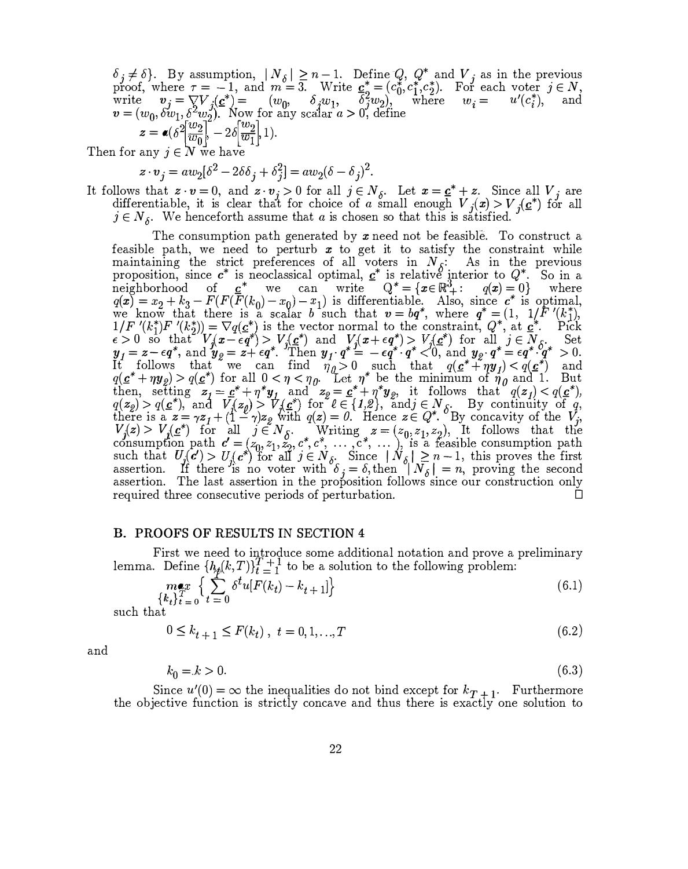$\delta_j \neq \delta$ . By assumption,  $|N_\delta| \geq n-1$ . Define  $Q$ ,  $Q^*$  and  $V_j$  as in the previous proof, where  $\tau = -1$ , and  $m = 3$ . Write  $c_5^* = (c_0^*, c_1^*, c_2^*)$ . For each voter  $j \in N$ , write  $v_j = \nabla V_j(\underline{c}^*) = (w_0, \delta_j w_1, \delta_j w_2),$  where  $w_i = u'(c_i^*),$  and  $v = (w_0, \delta w_1, \delta^2 w_2).$  Now for any scalar  $a > 0$ , define  $z = \epsilon \left( \delta^2 \left[ \frac{w_2}{w_0} \right] - 2 \delta \left[ \frac{w_2}{w_1} \right] 1 \right).$ 

Then for any  $i \in N$  we have

$$
z \cdot v_j = aw_2[\delta^2 - 2\delta \delta_j + \delta_j^2] = aw_2(\delta - \delta_j)^2.
$$

It follows that  $z \cdot v = 0$ , and  $z \cdot v_j > 0$  for all  $j \in N_\delta$ . Let  $x = \underline{c^*} + z$ . Since all  $V_j$  are differentiable, it is clear that for choice of a small enough  $V_j(x) > V_j(c^*)$  for all  $j \in N_{\delta}$ . We henceforth assume that a is chosen so that this is satisfied.

The consumption path generated by  $x$  need not be feasible. To construct a feasible path, we need to perturb  $x$  to get it to satisfy the constraint while feasible path, we need to perturb  $x$  to get it to satisfy the constraint while maintaining the strict preferences of all voters in  $N_{\delta}$ : As in the previous proposition, since  $c^*$  is neoclassical optimal,  $c^*$  is relative interior to  $Q^*$ . So in a neighborhood of  $\underline{c}^*$  we can write  $Q^* = \{x \in \mathbb{R}^3_+ : q(x) = 0\}$  where  $q(x) = x_2 + k_3 - F(F(\overline{F}(k_0) - x_0) - x_1)$  is differentiable. Also, since  $c^*$  is optimal, we know that there is a scalar b such that  $v = bq^*$ , where  $q^* = (1, 1/\overline{F'(k_1)})$  $1/F'(k_1^*)F'(k_2^*) = \nabla q(\underline{c}_*)$  is the vector normal to the constraint,  $Q^*$ , at  $\underline{c}_*^*$ . Pick  $\epsilon > 0$  so that  $V_j(x - \epsilon q^*) > V_j(\mathbf{c}^*)$  and  $V_j(x + \epsilon q^*) > V_j(\mathbf{c}^*)$  for all  $j \in N_{\delta}$ . Set  $y_1 = z - \epsilon q^*$ , and  $y_2 = z + \epsilon q^*$ . Then  $y_1 \cdot q^* = -\epsilon q^{*} \cdot q^* < 0$ , and  $y_2 \cdot q^* = \epsilon q^* \cdot q^* > 0$ . It follows that we can find  $\eta_{\theta} > 0$  such that  $q(\underline{\mathbf{c}}^* + \eta \underline{\mathbf{y}}_1) < q(\underline{\mathbf{c}}^*)$  and  $q(\mathbf{c}^* + \eta \mathbf{y}_2) > q(\mathbf{c}^*)$  for all  $0 < \eta < \eta_0$ . Let  $\eta^*$  be the minimum of  $\eta_0$  and 1. But then, setting  $z_i = \underline{c}^* + \eta^* y_i$  and  $z_g = \underline{c}^* + \eta^* y_g$ , it follows that  $q(z_i) < q(\underline{c}^*)$ ,<br> $q(z_i) > q(\underline{c}^*)$  and  $V(z_i) > V(z^*)$  for  $\theta \in [1, \theta)$  and  $\in N$ . By continuity of a  $q(z_2) > q(\underline{c}^*)$ , and  $V_q(z_2) > V_q(\underline{c}^*)$  for  $\ell \in \{1,2\}$ , and  $j \in N_\delta$ . By continuity of q,<br>there is a  $z = \alpha z + (1 - \alpha)z$  with  $q(z) = 0$ . Hence  $z \in O^*$  By concernity of the V there is a  $z = \gamma z_1 + (1 - \gamma)z_2$  with  $q(z) = 0$ . Hence  $z \in Q^*$ . By concavity of the  $V_j$ ,  $V_j(z) > V_j(z^*)$  for all  $j \in N_{\delta}$ . \* riting \*  $z = (z_0, z_1, z_2)$ , It follows that the . . consumption path  $c' = (z_0, z_1, z_2, c^*, c^*, \dots, c^*, \dots)$ , is a feasible consumption path such that  $U_j(\mathbf{c}') > U_j(\mathbf{c}^*)$  for all  $j \in N_{\delta}$ . Since  $|N_{\delta}| \geq n-1$ , this proves the first assertion. If there is no voter with  $\delta_j = \delta$ , then  $|N_{\delta}| = n$ , proving the second assertion. The last assertion in the proposition follows since our construction only assertion. The last assertion in the proposition follows since our construction only required three consecutive periods of perturbation.  $\square$ 

#### B\_ PROOFS OF RESULTS IN SECTION <sup>4</sup>

First we need to introduce some additional notation and prove a preliminary lemma. Define  $\{h_{\hat{f}}(k,T)\}_{t=1}^{T+1}$  to be a solution to the following problem:

$$
\max_{\{k_t\}_{t=0}^T} \left\{ \sum_{t=0}^t \delta^t u[F(k_t) - k_{t+1}] \right\} \tag{6.1}
$$

such that

$$
0 \le k_{t+1} \le F(k_t), \ t = 0, 1, ..., T \tag{6.2}
$$

and

$$
k_0 = k > 0. \tag{6.3}
$$

Since  $u'(0) = \infty$  the inequalities do not bind except for  $k_{T+1}$ . Furthermore the objective function is strictly concave and thus there is exactty one solution to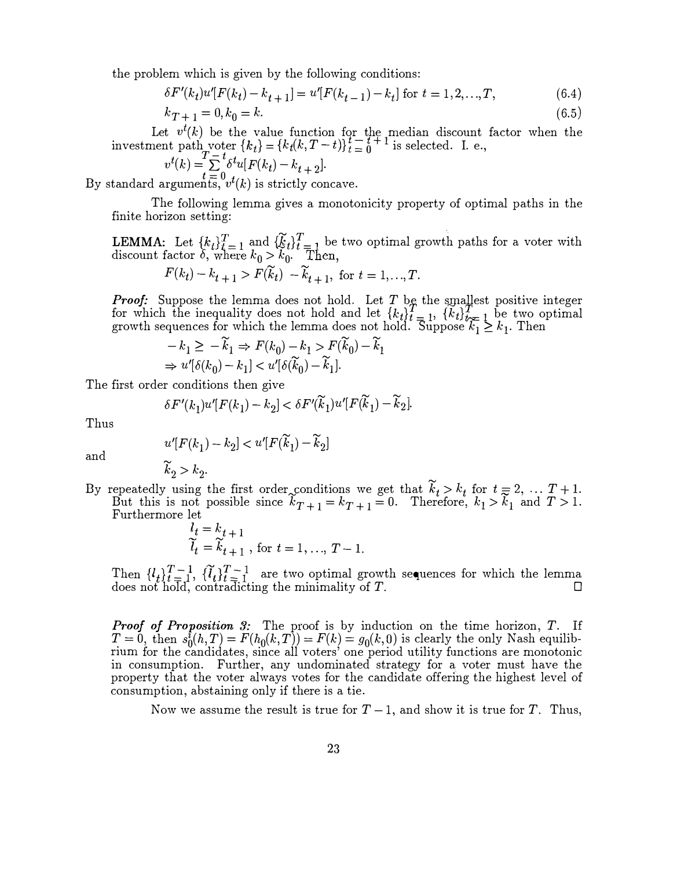the problem which is given by the following conditions:

$$
\delta F'(k_t)u'[F(k_t) - k_{t+1}] = u'[F(k_{t-1}) - k_t] \text{ for } t = 1, 2, ..., T,
$$
\n(6.4)

$$
k_{T+1} = 0, k_0 = k. \tag{6.5}
$$

Let  $v^t(k)$  be the value function for the median discount factor Let  $v^*(k)$  be the value function for the median discount<br>investment path voter  ${k_t} = {k_t(k, T-t)}_{t=0}^{t-t+1}$  is selected. I. e., when the

$$
v^{t}(k) = \sum_{t=0}^{T-t} \delta^{t} u[F(k_{t}) - k_{t+2}].
$$

By standard arguments,  $v^t(k)$  is strictly concave.

The following lemma gives a monotonicity property of optimal paths in the finite horizon setting:

**LEMMA:** Let  ${k_t}_{t=1}^T$  and  ${k_t}_{t=1}^T$  be two optimal growth paths for a voter with discount factor  $\delta$ , where  $k_0 > k_0$ . Then,

$$
F(k_t) - k_{t+1} > F(\widetilde{k}_t) - \widetilde{k}_{t+1}, \text{ for } t = 1, ..., T.
$$

**Proof:** Suppose the lemma does not hold. Let  $T$  be the smallest positive integer for which the inequality does not hold and let  ${k_t}_{t=1}^T$ ,  ${k_t}_{t=1}^T$  be two optimal growth sequences for which the lemma does not hold. Suppose  $k_1 \geq k_1$ . Then

$$
-k_1 \ge -\widetilde{k}_1 \Rightarrow F(k_0) - k_1 > F(\widetilde{k}_0) - \widetilde{k}_1
$$
  
\n
$$
\Rightarrow u'[\delta(k_0) - k_1] < u'[\delta(\widetilde{k}_0) - \widetilde{k}_1].
$$

The first order conditions then give

$$
\delta F'(k_1)u'[F(k_1)-k_2] < \delta F'(\widetilde{k}_1)u'[F(\widetilde{k}_1)-\widetilde{k}_2].
$$

Thus

$$
u'[F(k_1) - k_2] < u'[F(\widetilde{k}_1) - \widetilde{k}_2]
$$

and

 $\widetilde{k}_2 > k_2$ .

By repeatedly using the first order<sub>p</sub>conditions we get that  $\widetilde{k}_t > k_t$  for  $t = 2, \ldots, T + 1$ . But this is not possible since  $\tilde{k}_{T+1} = k_{T+1} = 0$ . Therefore,  $k_1 > \tilde{k}_1$  and  $T > 1$ . Furthermore let

$$
\begin{aligned} l_t &= k_{t+1} \\ \widetilde{l}_t &= \widetilde{k}_{t+1} \text{, for } t = 1, \dots, T-1. \end{aligned}
$$

Then  $\{l_i\}_{i=1}^{T-1}$ ,  $\{\tilde{l}_t\}_{t=1}^{T-1}$  are two optimal growth sequences for which the lemma does not hold, contradicting the minimality of T.

**Proof of Proposition 3:** The proof is by induction on the time horizon,  $T$ . If  $T = 0$ , then  $s_0^{\tilde{t}}(h,T) = F(h_0(k,T)) = F(k) = g_0(k,0)$  is clearly the only Nash equilibrium for the candidates, since all voters' one period utility functions are monotonic in consumption. Further, any undominated strategy for a voter must have the property that the voter always votes for the candidate offering the highest level of consumption, abstaining only if there is a tie.

Now we assume the result is true for  $T-1$ , and show it is true for T. Thus,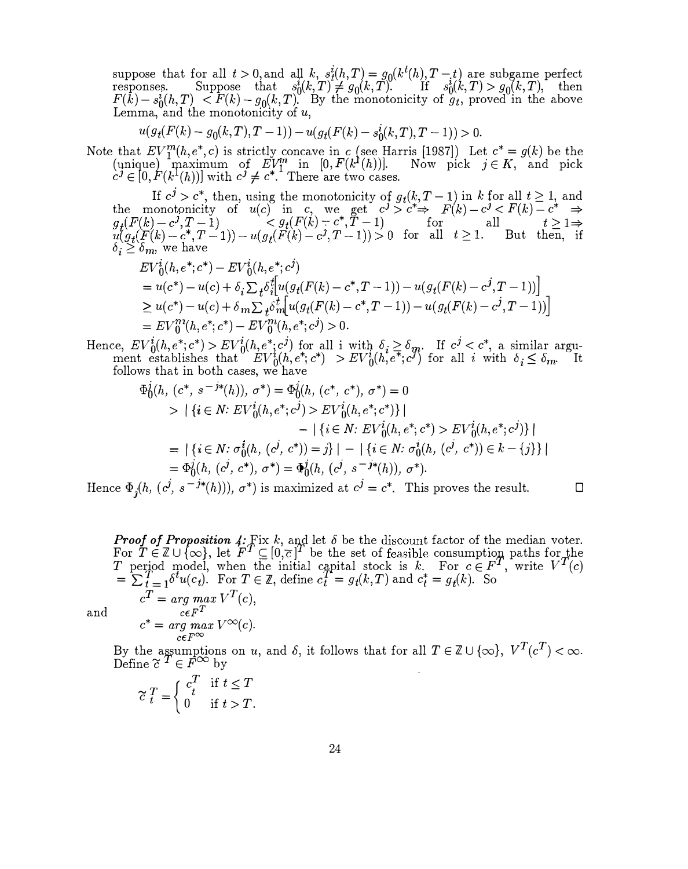suppose that for all  $t > 0$ , and all  $k$ ,  $s_t^i(h,T) = g_0(k^t(h), T-t)$  are subgame perfect<br>responses. Suppose that  $s_0^i(k,T) \neq g_0(k,T)$ . If  $s_0^i(k,T) > g_0(k,T)$ , then  $F(\bar{k}) - s_0(\bar{k}, T) < F(k) - g_0(k, T)$ . By the monotonicity of  $g_t$ , proved in the above Lemma, and the monotonicity of  $u$ ,

$$
u(g_t(F(k) - g_0(k,T), T - 1)) - u(g_t(F(k) - s_0^i(k,T), T - 1)) > 0.
$$

Note that  $EV_1^m(h,e^*,c)$  is strictly concave in c (see Harris [1987]) Let  $c^* = g(k)$  be the (unique) maximum of  $EV_1^m$  in  $[0, F(k^1(h))]$ . Now pick  $j \in K$ , and pick  $c^j \in [0, F(k^1(h))]$  with  $c^j \neq c^*$ . There are two cases.

If  $c^j > c^*$ , then, using the monotonicity of  $g_t(k, T-1)$  in k for all  $t \ge 1$ , and<br>the monotonicity of  $u(c)$  in c, we get  $c^j > c^* \Rightarrow F(k) - c^j < F(k) - c^* \Rightarrow$  $g_t(F(k)-c^j, T-1)$   $\leq g_t(F(k)-c^*, T-1)$  for all  $t \geq 1 \Rightarrow$  $u(g_t(F(k)-c^*, T-1)) - u(g_t(F(k)-c^j,T-1))>0 \quad \text{for \quad all \quad } t\geq 1. \qquad \text{But \quad} \text{then, \quad if}$  $\delta_i \geq \delta_m$ , we have<br> $EV_0^i(h, e^*; c^*)$ 

$$
EV_0^i(h, e^*; c^*) - EV_0^i(h, e^*; c^j)
$$
  
=  $u(c^*) - u(c) + \delta_i \sum_t \delta_i^f [u(g_t(F(k) - c^*, T - 1)) - u(g_t(F(k) - c^j, T - 1))]$   
 $\geq u(c^*) - u(c) + \delta_m \sum_t \delta_m^t [u(g_t(F(k) - c^*, T - 1)) - u(g_t(F(k) - c^j, T - 1))]$   
=  $EV_0^m(h, e^*; c^*) - EV_0^m(h, e^*; c^j) > 0.$ 

Hence,  $EV_0^i(h, e^*; c^*) > EV_0^i(h, e^*; c^j)$  for all i with  $\delta_i \ge \delta_m$ <br>ment establishes that  $EV_0^i(h, e^*; c^*) > EV_0^i(h, e^*; c^j)$ . If  $c^j < c^*$ , a similar argu-<br>for all *i* with  $\delta \leq \delta$ <sub>m</sub>. It ment establishes that  $EV_0^i(h, e^*, c^*) > EV_0^i(h, e^*, c^*)$  for all i with  $\delta_i \leq \delta_{m}$ . It follows that in both cases, we have follows that in both cases, we have

$$
\Phi_0^j(h, (c^*, s^{-j*}(h)), \sigma^*) = \Phi_0^j(h, (c^*, c^*), \sigma^*) = 0
$$
\n
$$
> |\{i \in N : EV^i_0(h, e^*; c^j) > EV^i_0(h, e^*; c^*)\}|
$$
\n
$$
- |\{i \in N : EV^i_0(h, e^*; c^*) > EV^i_0(h, e^*; c^*)\}|
$$
\n
$$
= |\{i \in N : \sigma_0^i(h, (c^j, c^*)) = j\}| - |\{i \in N : \sigma_0^i(h, (c^j, c^*)) \in k - \{j\}\}|
$$
\n
$$
= \Phi_0^j(h, (c^j, c^*), \sigma^*) = \Phi_0^j(h, (c^j, s^{-j*}(h)), \sigma^*).
$$

Hence  $\Phi_j(h, (c^j, s^{-j*}(h))), \sigma^*)$  is maximized at  $c^j = c^*$ . This proves the result.  $\square$ 

**Proof of Proposition 4:** Fix k, and let  $\delta$  be the discount factor of the median voter. .<br>.<br>. For  $T \in \mathbb{Z} \cup \{\infty\}$ , let  $F^T \subseteq [0,\overline{c}]^T$  be the set of feasible consumption paths for the T period model, when the initial capital stock is k. For  $c \in F^T$ , write  $V^T(c)$  $\mathcal{I} = \sum_{t=1}^{T} \delta^{t} u(c_{t}).$  For  $T \in \mathbb{Z}$ , define  $c_{t}^{T} = g_{t}(k, T)$  and  $c_{t}^{*} = g_{t}(k).$  So  $c^T = arg \; max \; V^T(c),$ and  $c\epsilon F^T$  $c^* = \underset{c \in F^\infty}{\arg \ max} V^\infty(c).$ 

By the assumptions on u, and  $\delta$ , it follows that for all  $T \in \mathbb{Z} \cup \{\infty\}$ ,  $V^T(c^T) < \infty$ .<br>Define  $\widetilde{c}^T \in F^{\infty}$  by

$$
\widetilde{c} \frac{T}{t} = \begin{cases} c_t^T & \text{if } t \le T \\ 0 & \text{if } t > T. \end{cases}
$$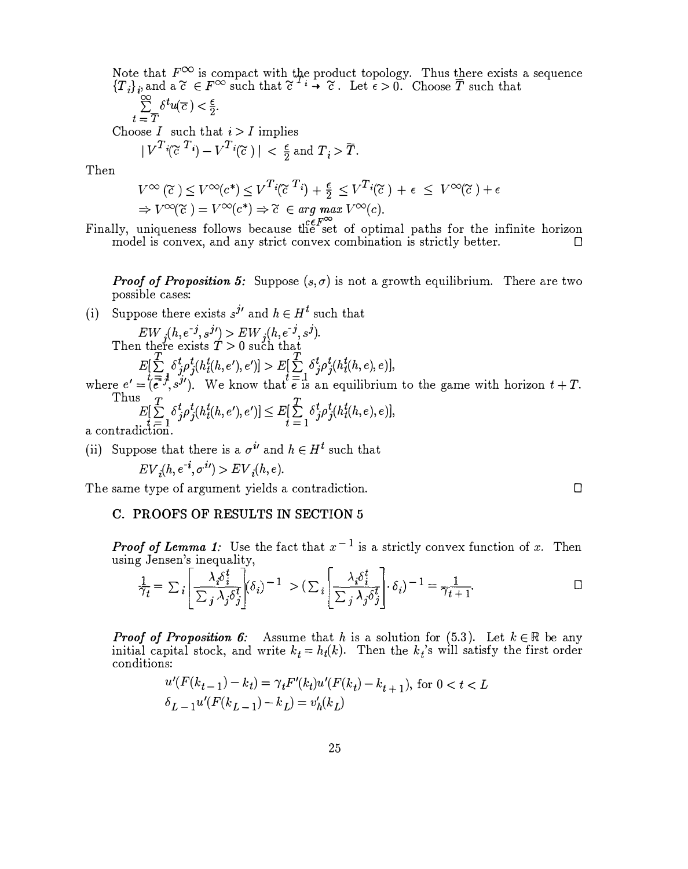Note that  $F^{\infty}$  is compact with the product topology. Thus there exists a sequence  ${T_i}_{i}$ <sub>i</sub>, and a  $\tilde{c} \in F^\infty$  such that  $\tilde{c}^{i}$   $\to \tilde{c}$ . Let  $\epsilon > 0$ . Choose  $\overline{T}$  such that

$$
\sum_{-\overline{T}}^{\infty} \delta^t u(\overline{c}) < \frac{\epsilon}{2}.
$$

 $t = \overline{T}$ <br>Choose *I* such that  $i > I$  implies

$$
|V^{T}i(\widetilde{c}^{T}i) - V^{T}i(\widetilde{c})| < \frac{\epsilon}{2} \text{ and } T_{i} > \overline{T}.
$$

Then

$$
V^{\infty}(\widetilde{c}) \leq V^{\infty}(c^*) \leq V^T i(\widetilde{c}^T i) + \frac{\epsilon}{2} \leq V^T i(\widetilde{c}) + \epsilon \leq V^{\infty}(\widetilde{c}) + \epsilon
$$
  
\n
$$
\Rightarrow V^{\infty}(\widetilde{c}) = V^{\infty}(c^*) \Rightarrow \widetilde{c} \in \arg\max_{c \in \mathbb{C}} V^{\infty}(c).
$$

Finally, uniqueness follows because the set of optimal paths for the infinite horizon model is convex, and any strict convex combination is strictly better.  $\Box$ 

**Proof of Proposition 5:** Suppose  $(s, \sigma)$  is not a growth equilibrium. There are two possible cases:

(i) Suppose there exists  $s^{j'}$  and  $h \in H^t$  such that

 $EW_{j}(h,e^{-j},s^{j\prime}) > EW_{j}(h,e^{-j},s^{j}).$ <br>a there exists  $T > 0$  such that Then there exists  $T > 0$  such that  $E[\sum_{t,\tau=1}^{t}\delta_{j\rho}^{t}\delta_{j}^{t}(h_{t}^{t}(h,e'),e')] > E[\sum_{t,\tau=1}^{t}\delta_{j\rho}^{t}\delta_{j}^{t}(h_{t}^{t}(h,e),e)],$ where  $e' = \overline{t} \overline{e^2} \overline{f}$ ,  $s^j$ ). We know that  $\overline{e}$  is an equilibrium to the game with horizon  $t + T$ . Thus  $E[\sum_{i}^{T} \delta_{i}^{t} \rho_{i}^{t} (h_{t}^{t}(h, e'), e')] \leq E[\sum_{i}^{T} \delta_{i}^{t} \rho_{i}^{t} (h_{t}^{t}(h, e), e)],$  $L\left[\sum_{t=1}^{t} \sum_{j}^{t} f_{j}(n_{t}(n), \epsilon_{j})\right] \leq L\left[\sum_{t=1}^{t} \epsilon_{t}\right]$ <br>a contradiction.

(ii) Suppose that there is a  $\sigma^{i'}$  and  $h \in H^t$  such that

$$
EV_i(h, e^{-i}, \sigma^{i\prime}) > EV_i(h, e).
$$

The same type of argument yields a contradiction.

C. PROOFS OF RESULTS IN SECTION <sup>5</sup>

**Proof of Lemma 1:** Use the fact that  $x^{-1}$  is a strictly convex function of x. Then

using Jensen's inequality,  
\n
$$
\frac{1}{\gamma_t} = \sum_i \left[ \frac{\lambda_i \delta_i^t}{\sum_j \lambda_j \delta_j^t} \middle| (\delta_i)^{-1} \right] > (\sum_i \left[ \frac{\lambda_i \delta_i^t}{\sum_j \lambda_j \delta_j^t} \middle| \right] \cdot \delta_i)^{-1} = \frac{1}{\gamma_{t+1}}.
$$

 $\Box$ 

**Proof of Proposition 6:** Assume that h is a solution for  $(5.3)$ . Let  $k \in \mathbb{R}$  be any initial capital stock, and write  $k_t = h_t(k)$ . Then the  $k_t$ 's will satisfy the first order conditions:

$$
\label{eq:2.1} \begin{split} &u'(F(k_{t-1})-k_t)=\gamma_t F'(k_t) u'(F(k_t)-k_{t+1}), \; \text{for}\; 0 < t < L\\ &\delta_{L-1} u'(F(k_{L-1})-k_L) = v_h'(k_L) \end{split}
$$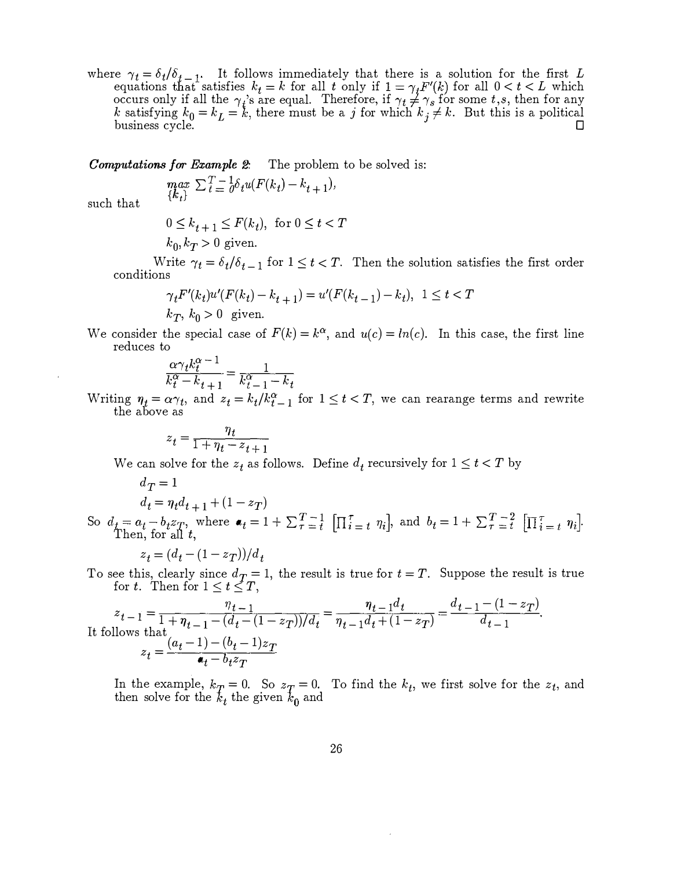where  $\gamma_t = \delta_t / \delta_{t-1}$ . It follows immediately that there is a solution for the first L equations that satisfies  $k_t = k$  for all t only if  $1 = \gamma_t F'(k)$  for all  $0 < t < L$  which occurs only if all the  $\gamma_i$ 's are equal. Therefore, if  $\gamma_t \neq \gamma_s$  for some t,s, then for any k satisfying  $k_0 = k_L = k$ , there must be a j for which  $k_j \neq k$ . But this is a political business cycle.

**Computations for Example 2:** The problem to be solved is:

$$
\max_{\{k_t\}} \sum_{t=0}^{T-1} \delta_t u(F(k_t) - k_{t+1}),
$$

such that

 $0 \leq k_{t+1} \leq F(k_t)$ , for  $0 \leq t < T$  $k_0, k_T > 0$  given.

Write  $\gamma_t = \delta_t / \delta_{t-1}$  for  $1 \le t < T$ . Then the solution satisfies the first order conditions

$$
\gamma_t F'(k_t) u'(F(k_t) - k_{t+1}) = u'(F(k_{t-1}) - k_t), \ 1 \le t < T
$$
  

$$
k_T, k_0 > 0 \text{ given.}
$$

We consider the special case of  $F(k) = k^{\alpha}$ , and  $u(c) = ln(c)$ . In this case, the first line reduces to

$$
\frac{\alpha \gamma_t k_t^{\alpha - 1}}{k_t^{\alpha} - k_{t+1}} = \frac{1}{k_{t-1}^{\alpha} - k_t}
$$

Writing  $\eta_t = \alpha \gamma_t$ , and  $z_t = k_t / k_{t-1}^{\alpha}$  for  $1 \le t < T$ , we can rearange terms and rewrite the above as

$$
z_t = \frac{\eta_t}{1 + \eta_t - z_{t+1}}
$$

We can solve for the  $z_t$  as follows. Define  $d_t$  recursively for  $1 \le t < T$  by

$$
d_T = 1
$$
  

$$
d_t = n_t d_{t+1}
$$

 $d_t = \eta_t d_{t+1} + (1 - z_T)$ So  $d_t = a_t - b_t z_T$ , where  $\bullet_t = 1 + \sum_{\tau=1}^{T-1} [\prod_{i=t}^{\tau} \eta_i]$ , and  $b_t = 1 + \sum_{\tau=1}^{T-2} [\prod_{i=t}^{\tau} \eta_i]$ .<br>Then, for all  $t$ ,

$$
z_t = (d_t - (1 - z_T))/d_t
$$

To see this, clearly since  $d_T = 1$ , the result is true for  $t = T$ .<br>for  $t$ . Then for  $1 \le t \le T$ , Suppose the result is true

$$
z_{t-1} = \frac{\eta_{t-1}}{1 + \eta_{t-1} - (d_t - (1 - z_T))/d_t} = \frac{\eta_{t-1}d_t}{\eta_{t-1}d_t + (1 - z_T)} = \frac{d_{t-1} - (1 - z_T)}{d_{t-1}}.
$$
  
It follows that  

$$
z_t = \frac{(a_t - 1) - (b_t - 1)z_T}{\bullet_t - b_t z_T}
$$

In the example,  $k_T = 0$ . So  $z_T = 0$ . To find the  $k_t$ , we first solve for the  $z_t$ , and then solve for the  $k_t$  the given  $k_0$  and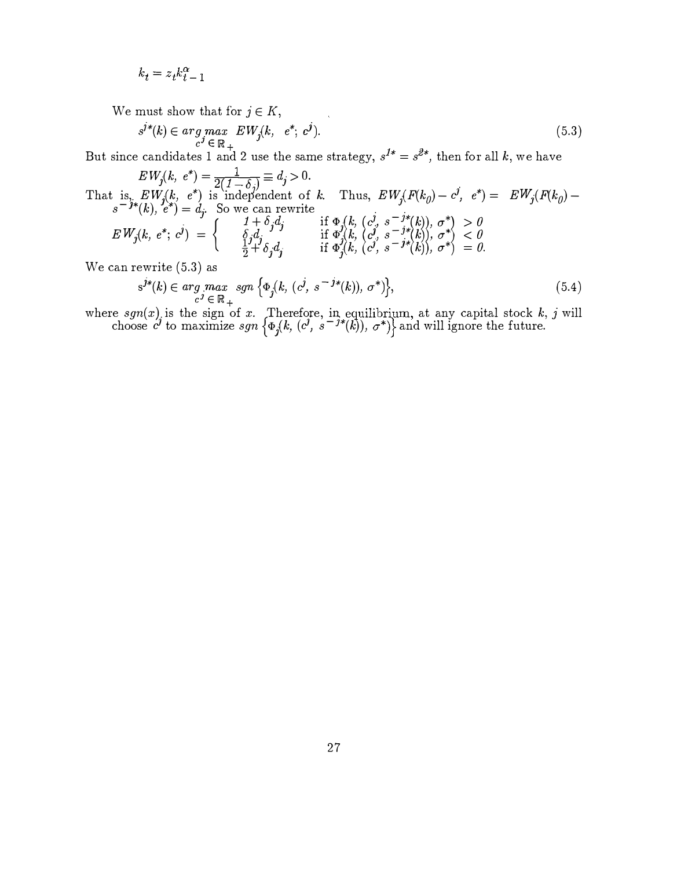$$
k_t = z_t k_{t-1}^{\alpha}
$$

We must show that for  $j \in K$ ,

$$
s^{j*}(k) \in \underset{c^j \in \mathbb{R}_+}{arg \ max} \, EW_j(k, \, e^*, \, c^j). \tag{5.3}
$$

 $c^3 \in \mathbb{R}_+$ <br>But since candidates 1 and 2 use the same strategy,  $s^{1*} = s^{2*}$ , then for all k, we have

 $EW_j(k, e^*) = \frac{1}{2(1-\delta_j)} \equiv d_j > 0.$ <br>That is,  $EW_j(k, e^*)$  is independent of k. Thus,  $EW_j(F(k_0) - c^j, e^*) = EW_j(F(k_0) - c^j)$  $s^{-j*}(k)$ ,  $e^*) = d_j$ . So we can rewrite<br>  $EW_j(k, e^*; c^j) = \begin{cases} 1 + \delta_j d_j & \text{if } \Phi_j(k, (c^j, s^{-j*}(k)), \sigma^*) > 0 \\ \delta_j d_j & \text{if } \Phi_j(k, (c^j, s^{-j*}(k)), \sigma^*) > 0 \end{cases}$  $\frac{1}{j}$ j  $EW_j(k, e^*; c^j) = \begin{cases} \qquad & \text{if } \bar{\Phi}_j^j(k, c^j, s^{-j*}(k)), \sigma^* \leq 0 \ \frac{1}{2} + \delta_j d_j & \text{if } \Phi_j^j(k, (c^j, s^{-j*}(k)), \sigma^* \leq 0 \end{cases}$  $\overline{A}^{j}$  $\overline{C}^{j}$  $\overline{C}^{j}$  $\overline{D}^{j}$  $\overline{D}^{j}$  $\overline{D}^{j}$  $\overline{D}^{j}$  $\overline{D}^{j}$  $\overline{D}^{j}$  $\overline{D}^{j}$  $\overline{D}^{j}$  $\overline{D}^{j}$  $\overline{D}^{j}$  $\overline{D}^{j}$  $\overline{D}^{j}$  $\overline{D}^{j}$  $\overline{D}^{j}$  $\overline{D}^{j}$  $\overline{D}^{j}$  $\overline{D}^{j}$  $\boldsymbol{j}$ We can rewrite (5.3) as

$$
s^{j*}(k) \in \underset{c^j}{\arg \ max} \ \text{sgn} \left\{ \Phi_j(k, \ (c^j, \ s^{-j*}(k)), \ \sigma^*) \right\},\tag{5.4}
$$

 $s^{j*}(k) \in \arg\max_{c^j \in \mathbb{R}_+} sgn \{\Phi_j(k, (c^j, s^{-j*}(k)), \sigma^*)\},$ (5.4)<br>
where  $sgn(x)$  is the sign of x. Therefore, in equilibrium, at any capital stock k, j will<br>
choose  $c^j$  to maximize  $sgn \{\Phi_j(k, (c^j, s^{-j*}(k)), \sigma^*)\}$  and will ignor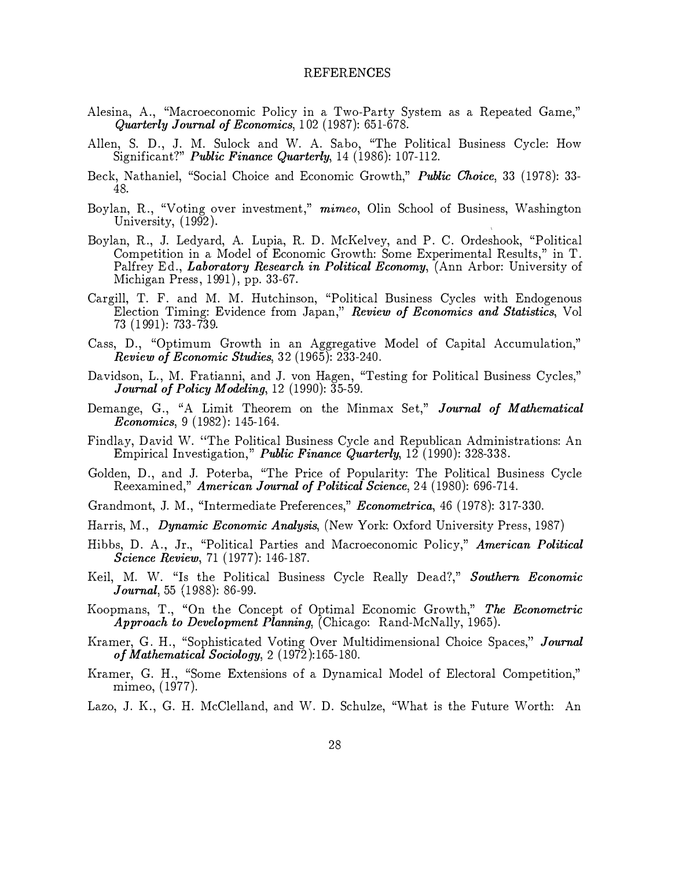#### REFERENCES

- Alesina, A., "Macroeconomic Policy in a Two-Party System as a Repeated Game," Quarterly Journal of Economics, 102 (1987): 651-678.
- Allen, S. D., J. M. Sulock and W. A. Sabo, "The Political Business Cycle: How Significant?" *Public Finance Quarterly*, 14 (1986): 107-112.
- Beck, Nathaniel, "Social Choice and Economic Growth," *Public Choice*, 33 (1978): 33-48.
- Boylan, R., "Voting over investment," mimeo, Olin School of Business, Washington University, (1992).
- Boylan, R., J. Ledyard, A. Lupia, R. D. McKelvey, and P. C. Ordeshook, "Political Competition in a Model of Economic Growth: Some Experimental Results," in T. Palfrey Ed., *Laboratory Research in Political Economy*, (Ann Arbor: University of Michigan Press, 1991), pp. 33-67.
- Cargill, T. F. and M. M. Hutchinson, "Political Business Cycles with Endogenous Election Timing: Evidence from Japan,'' Review of Economics and Statistics, Vol 73 (1991 ): 733-739.
- Cass, D., "Optimum Growth in an Aggregative Model of Capital Accumulation," Review of Economic Studies, 32 (1965): 233-240.
- Davidson, L., M. Fratianni, and J. von Hagen, "Testing for Political Business Cycles," Journal of Policy Modeling, 12 (1990): 35-59.
- Demange, G., "A Limit Theorem on the Minmax Set," Journal of Mathematical Economics, 9 (1982): 145-164.
- Findlay, David W. "The Political Business Cycle and Republican Administrations: An Empirical Investigation," Public Finance Quarterly, 12 (1990): 328-338.
- Golden, D., and J. Poterba, "The Price of Popularity: The Political Business Cycle Reexamined," American Journal of Political Science, 24 (1980): 696-714.
- Grandmont, J. M., "Intermediate Preferences," Econometrica, 46 (1978): 317-330.
- Harris, M., *Dynamic Economic Analysis*, (New York: Oxford University Press, 1987)
- Hibbs, D. A., Jr., "Political Parties and Macroeconomic Policy," American Political Science Review, 71 (1977): 146-187.
- Keil, M. W. "Is the Political Business Cycle Really Dead?," Southern Economic **Journal**, 55 (1988): 86-99.
- Koopmans, T., "On the Concept of Optimal Economic Growth," The Econometric Approach to Development Planning, (Chicago: Rand-McNally, 1965).
- Kramer, G. H., "Sophisticated Voting Over Multidimensional Choice Spaces," Journal of Mathematical Sociology, 2 (1972):165-180.
- Kramer, G. H., "Some Extensions of a Dynamical Model of Electoral Competition," mimeo, (1977).
- Lazo, J. K., G. H. McClelland, and W. D. Schulze, "What is the Future Worth: An